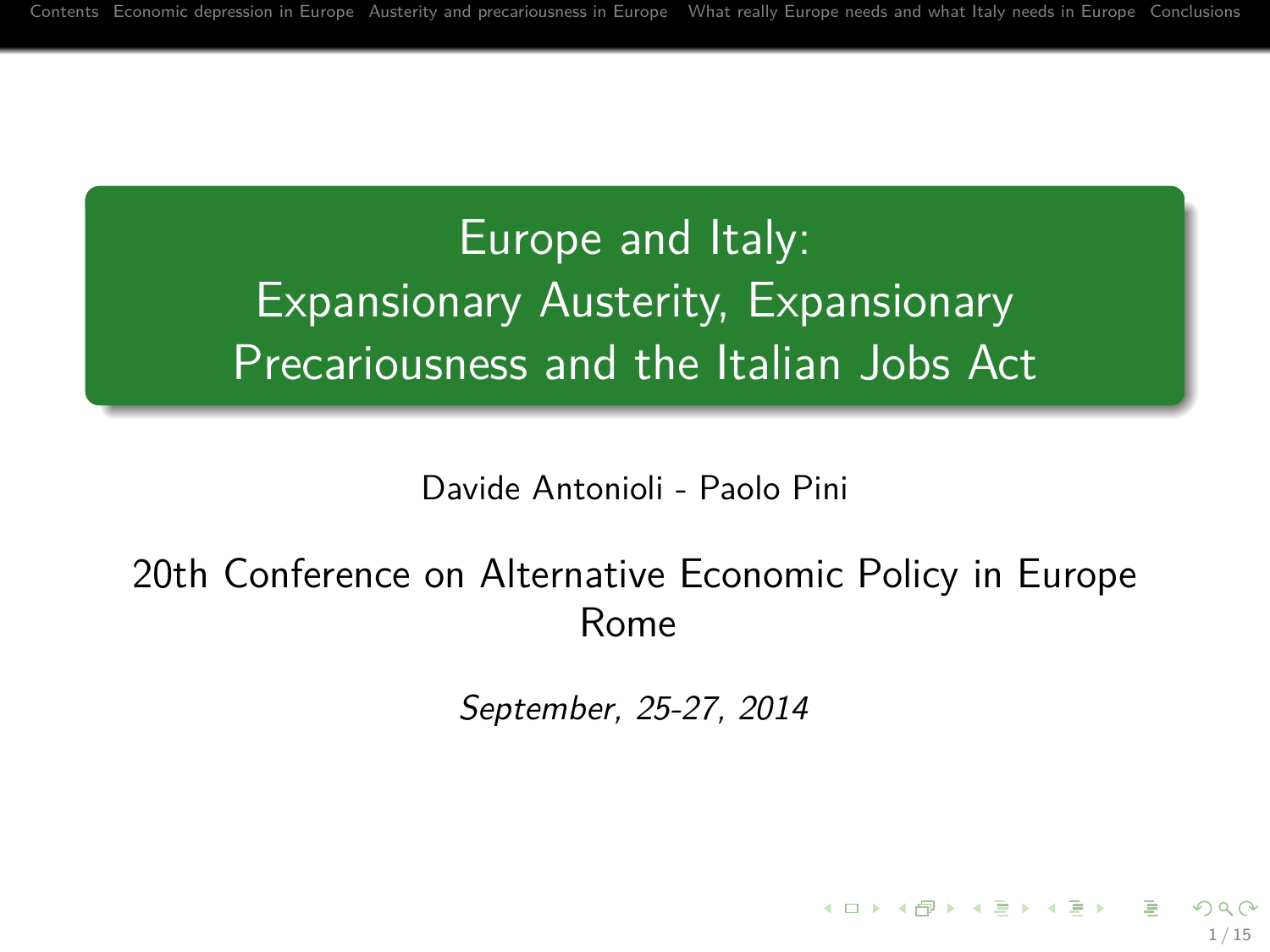# Europe and Italy: Expansionary Austerity, Expansionary Precariousness and the Italian Jobs Act

Davide Antonioli - Paolo Pini

### 20th Conference on Alternative Economic Policy in Europe Rome

September, 25-27, 2014

1 / 15

イロメ イ団メ イヨメ イヨメー 語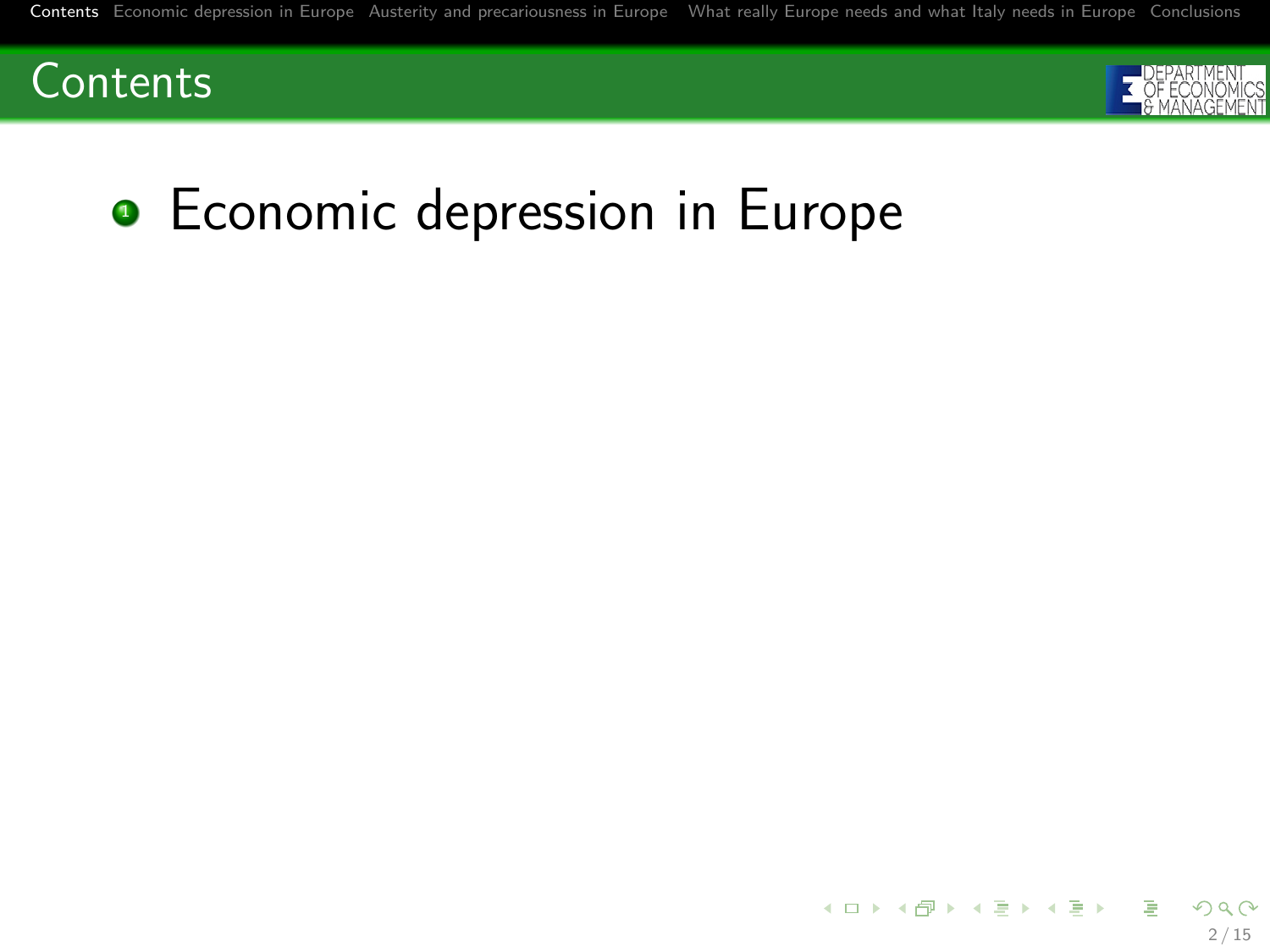

<span id="page-1-0"></span>

# **•** Economic depression in Europe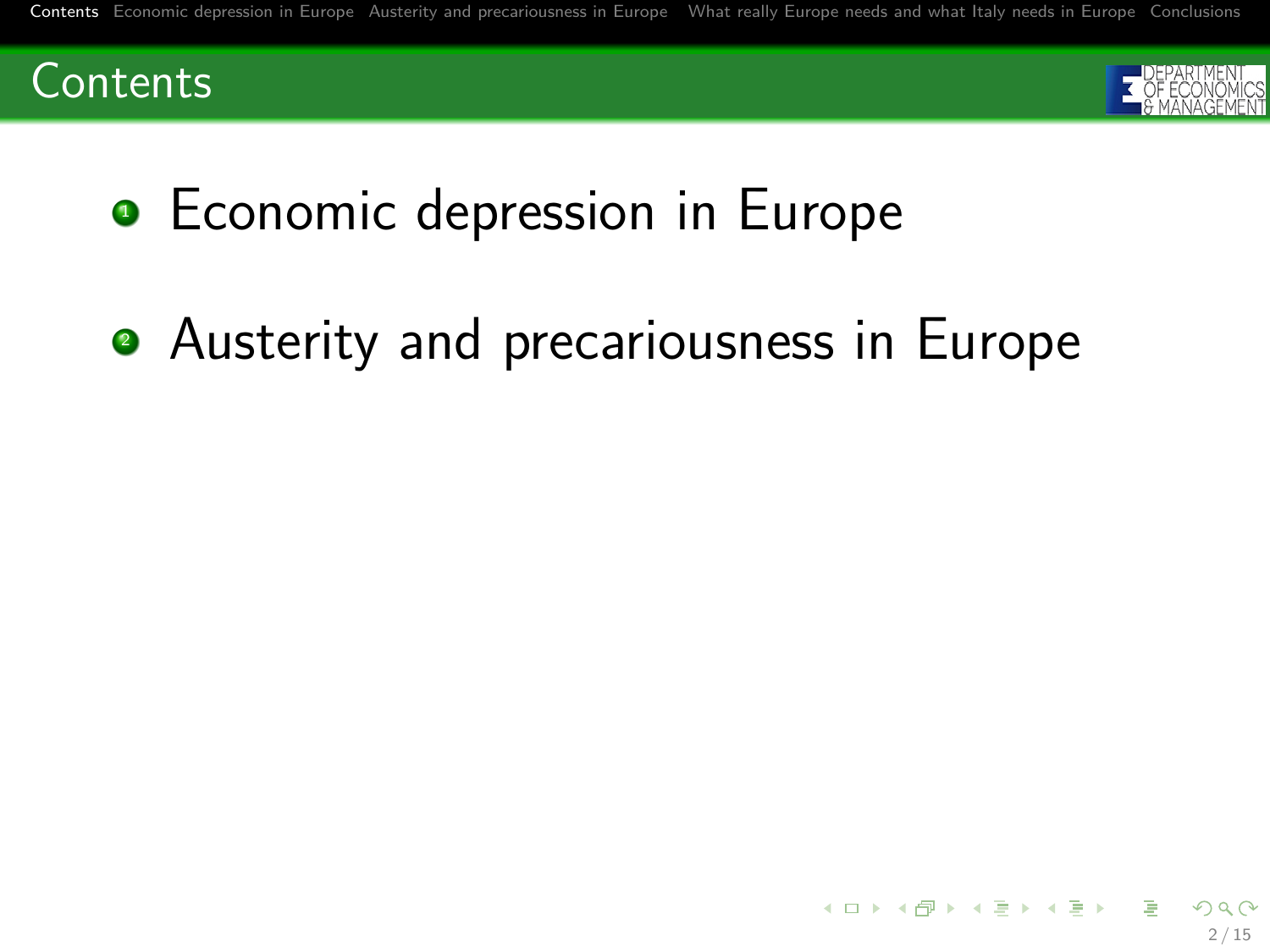



• Economic depression in Europe

• Austerity and precariousness in Europe

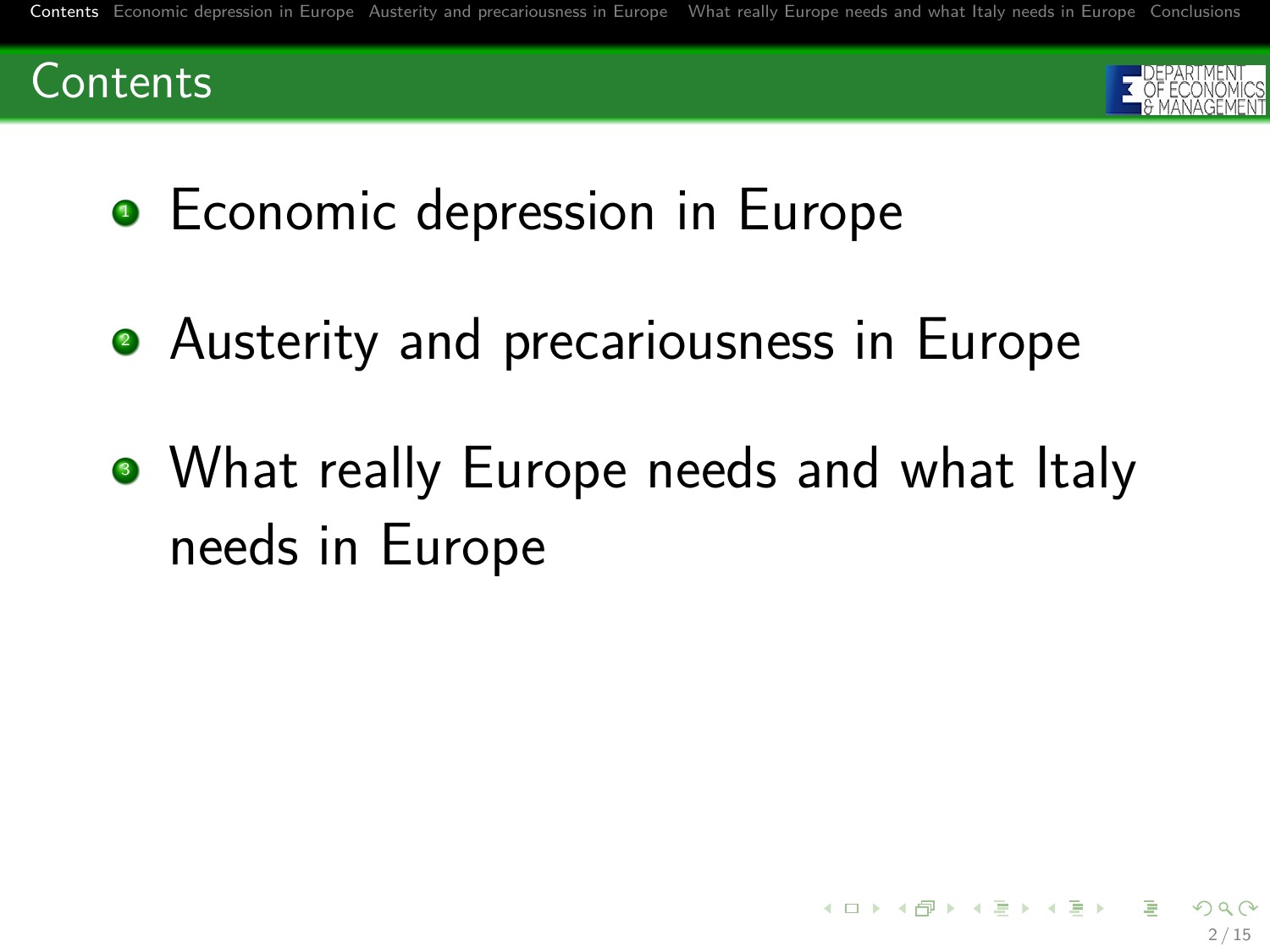



- Economic depression in Europe
- Austerity and precariousness in Europe
- What really Europe needs and what Italy needs in Europe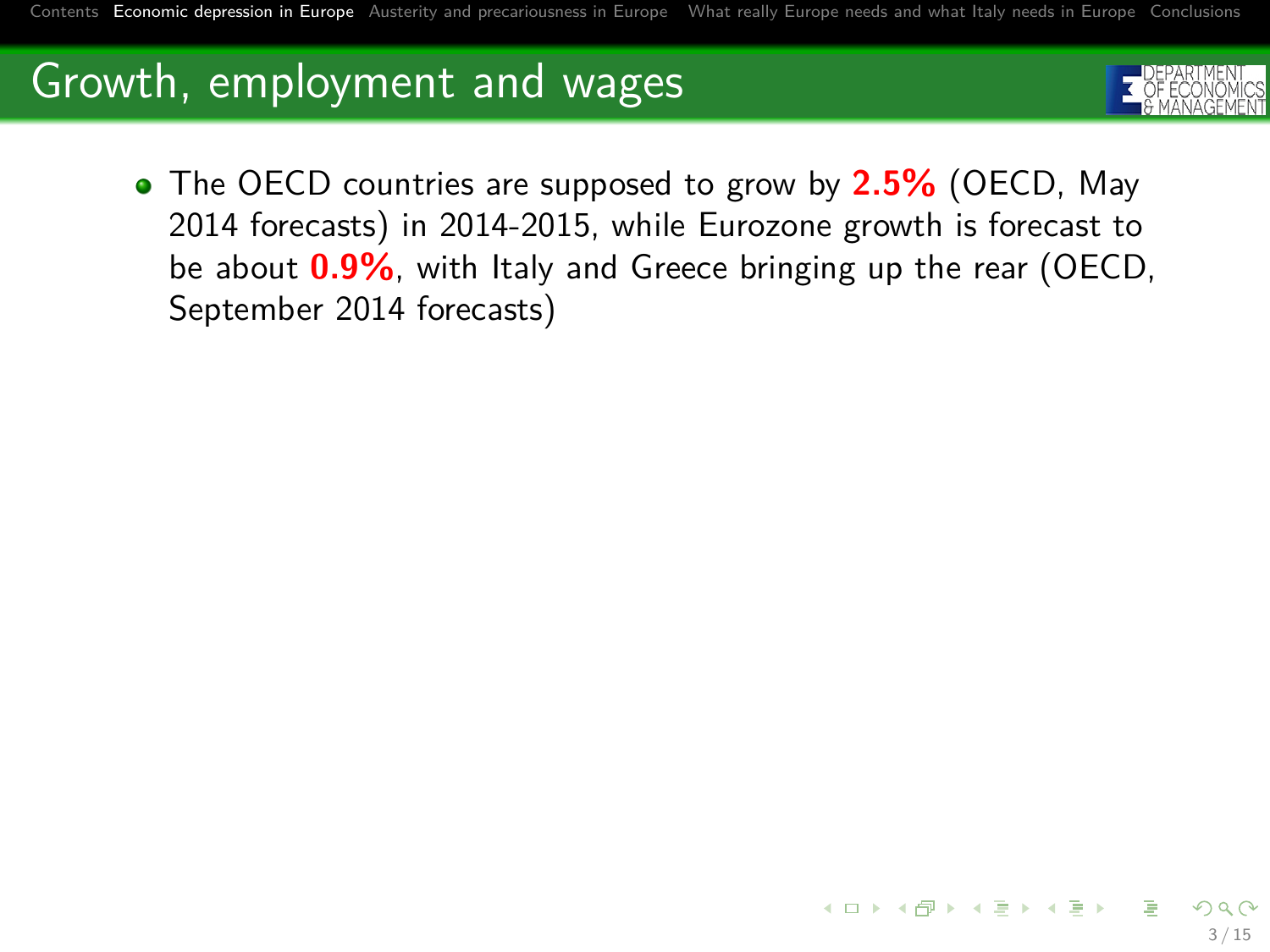<span id="page-4-0"></span>

The OECD countries are supposed to grow by **2.5%** (OECD, May 2014 forecasts) in 2014-2015, while Eurozone growth is forecast to be about **0.9%**, with Italy and Greece bringing up the rear (OECD, September 2014 forecasts)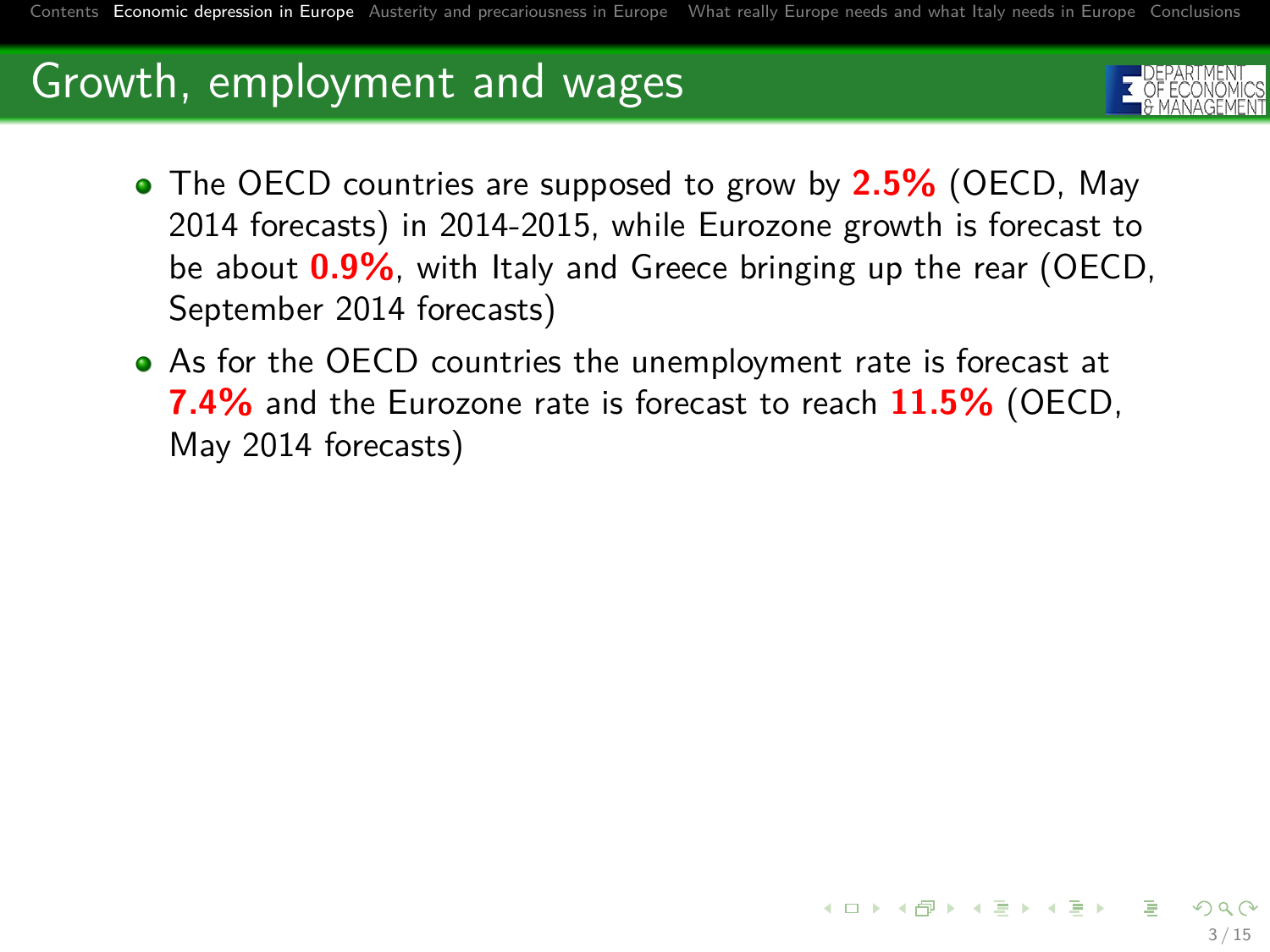

3 / 15

イロメ イ団メ イヨメ イヨメー 語

- The OECD countries are supposed to grow by **2.5%** (OECD, May 2014 forecasts) in 2014-2015, while Eurozone growth is forecast to be about **0.9%**, with Italy and Greece bringing up the rear (OECD, September 2014 forecasts)
- As for the OECD countries the unemployment rate is forecast at **7.4%** and the Eurozone rate is forecast to reach **11.5%** (OECD, May 2014 forecasts)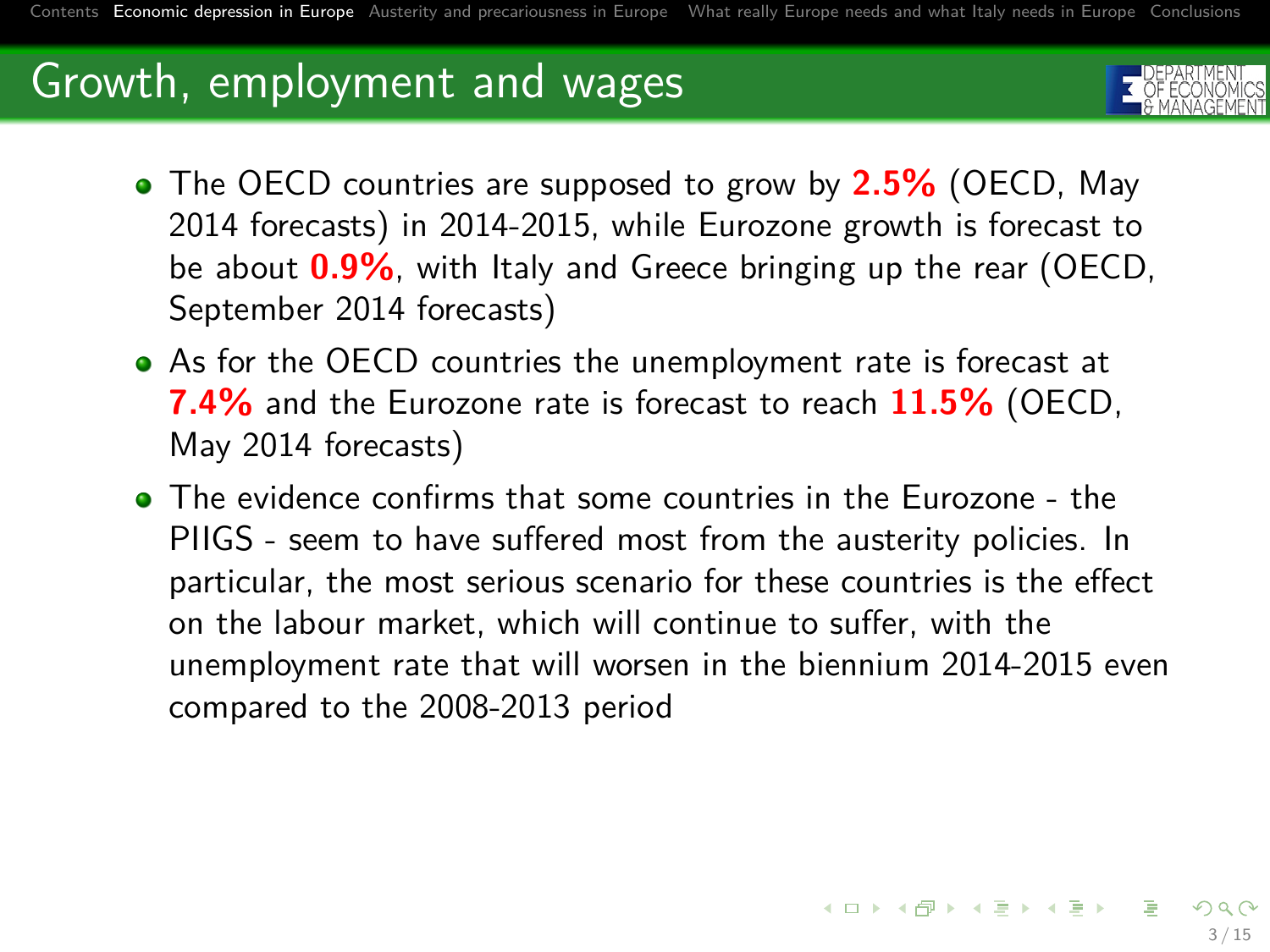

- The OECD countries are supposed to grow by **2.5%** (OECD, May 2014 forecasts) in 2014-2015, while Eurozone growth is forecast to be about **0.9%**, with Italy and Greece bringing up the rear (OECD, September 2014 forecasts)
- As for the OECD countries the unemployment rate is forecast at **7.4%** and the Eurozone rate is forecast to reach **11.5%** (OECD, May 2014 forecasts)
- The evidence confirms that some countries in the Eurozone the PIIGS - seem to have suffered most from the austerity policies. In particular, the most serious scenario for these countries is the effect on the labour market, which will continue to suffer, with the unemployment rate that will worsen in the biennium 2014-2015 even compared to the 2008-2013 period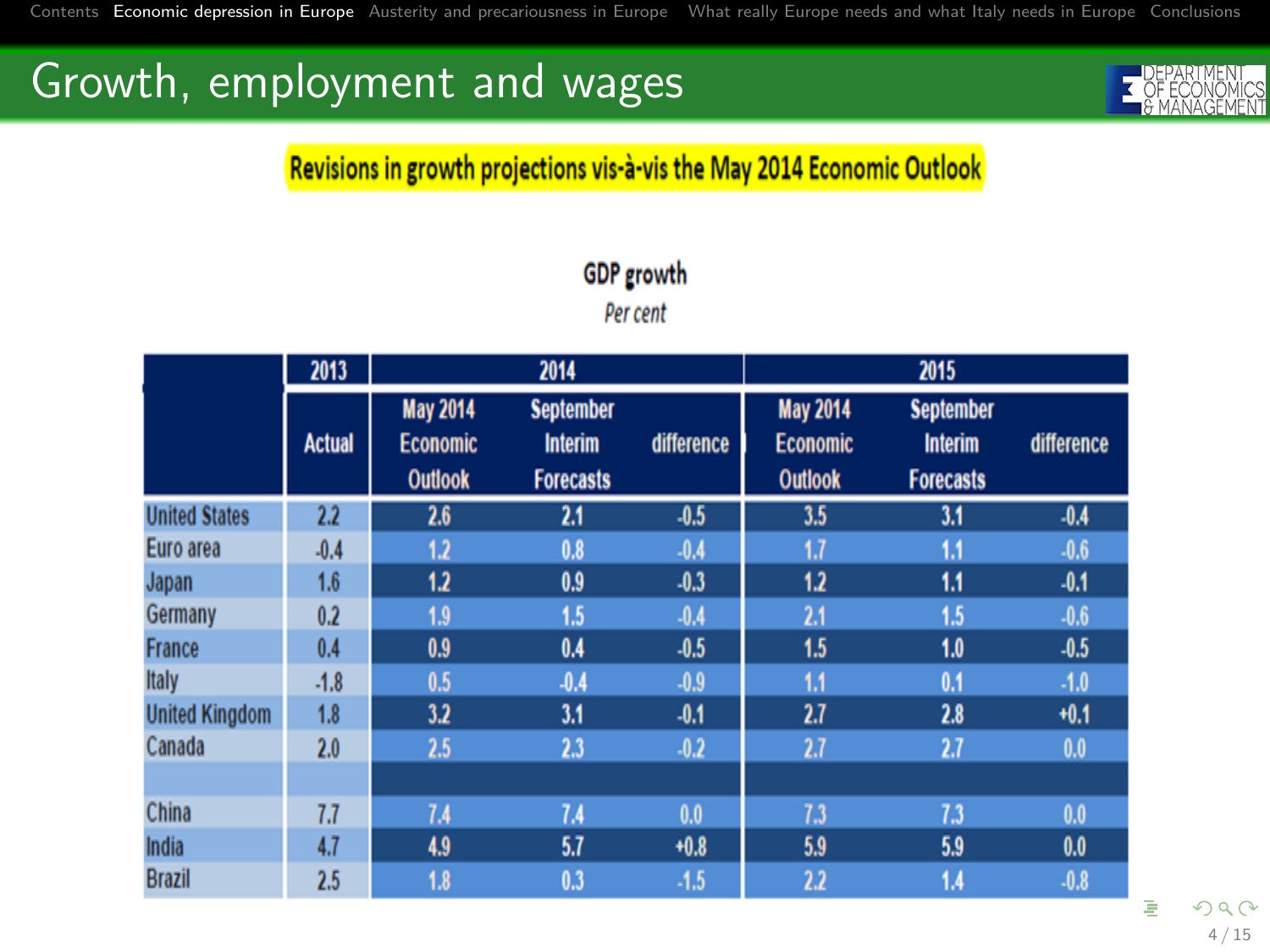

#### Revisions in growth projections vis-à-vis the May 2014 Economic Outlook

|                       | 2013          |                                                      | 2014                                                   |            |                                                      | 2015                                                   |            |
|-----------------------|---------------|------------------------------------------------------|--------------------------------------------------------|------------|------------------------------------------------------|--------------------------------------------------------|------------|
|                       | <b>Actual</b> | <b>May 2014</b><br><b>Economic</b><br><b>Outlook</b> | <b>September</b><br><b>Interim</b><br><b>Forecasts</b> | difference | <b>May 2014</b><br><b>Economic</b><br><b>Outlook</b> | <b>September</b><br><b>Interim</b><br><b>Forecasts</b> | difference |
| <b>United States</b>  | 2.2           | 2.6                                                  | 2.1                                                    | $-0.5$     | 3.5                                                  | 3.1                                                    | $-0.4$     |
| Euro area             | $-0.4$        | 1.2                                                  | 0.8                                                    | $-0.4$     | 1.7                                                  | 1.1                                                    | $-0.6$     |
| Japan                 | 1.6           | 1.2                                                  | 0.9                                                    | $-0.3$     | 1.2                                                  | 1.1                                                    | $-0.1$     |
| Germany               | 0.2           | 1.9                                                  | 1.5                                                    | $-0.4$     | 2.1                                                  | 1.5                                                    | $-0.6$     |
| <b>France</b>         | 0.4           | 0.9                                                  | 0.4                                                    | $-0.5$     | 1.5                                                  | 1.0                                                    | $-0.5$     |
| Italy                 | $-1.8$        | 0.5                                                  | $-0.4$                                                 | $-0.9$     | 1.1                                                  | 0.1                                                    | $-1.0$     |
| <b>United Kingdom</b> | 1.8           | 3.2                                                  | 3.1                                                    | $-0.1$     | 2.7                                                  | 2.8                                                    | $+0.1$     |
| Canada                | 2.0           | 2.5                                                  | 2.3                                                    | $-0.2$     | 2.7                                                  | 2.7                                                    | 0.0        |
|                       |               |                                                      |                                                        |            |                                                      |                                                        |            |
| China                 | 7.7           | 7.4                                                  | 7.4                                                    | 0.0        | 7.3                                                  | 7.3                                                    | 0.0        |
| India                 | 4.7           | 4.9                                                  | 5.7                                                    | $+0.8$     | 5.9                                                  | 5.9                                                    | 0.0        |
| <b>Brazil</b>         | 2.5           | 1.8                                                  | 0.3                                                    | $-1.5$     | 2.2                                                  | 1.4                                                    | $-0.8$     |

#### **GDP** growth

Per cent

4 / 15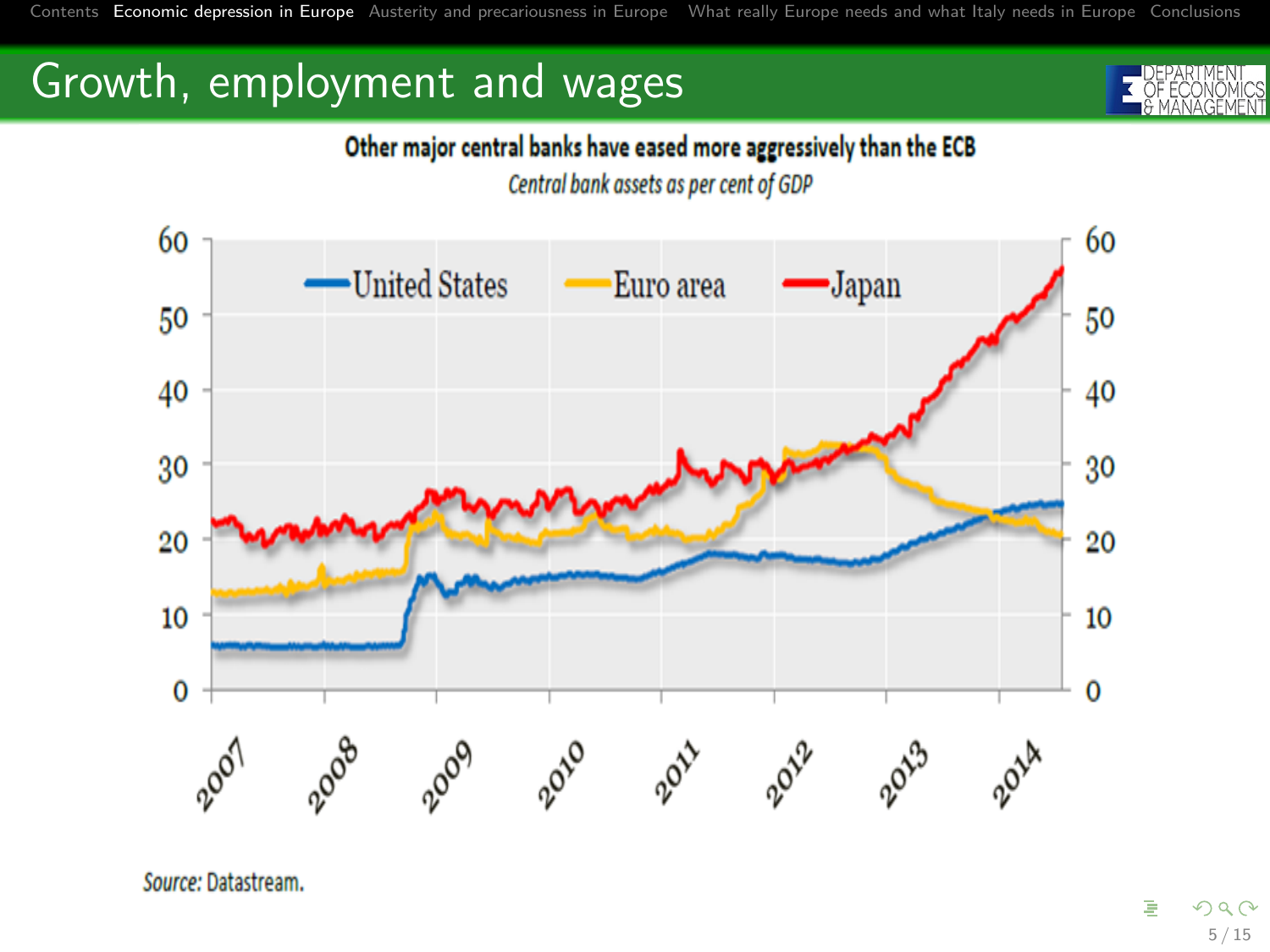#### Other major central banks have eased more aggressively than the ECB

Central bank assets as per cent of GDP



Source: Datastream.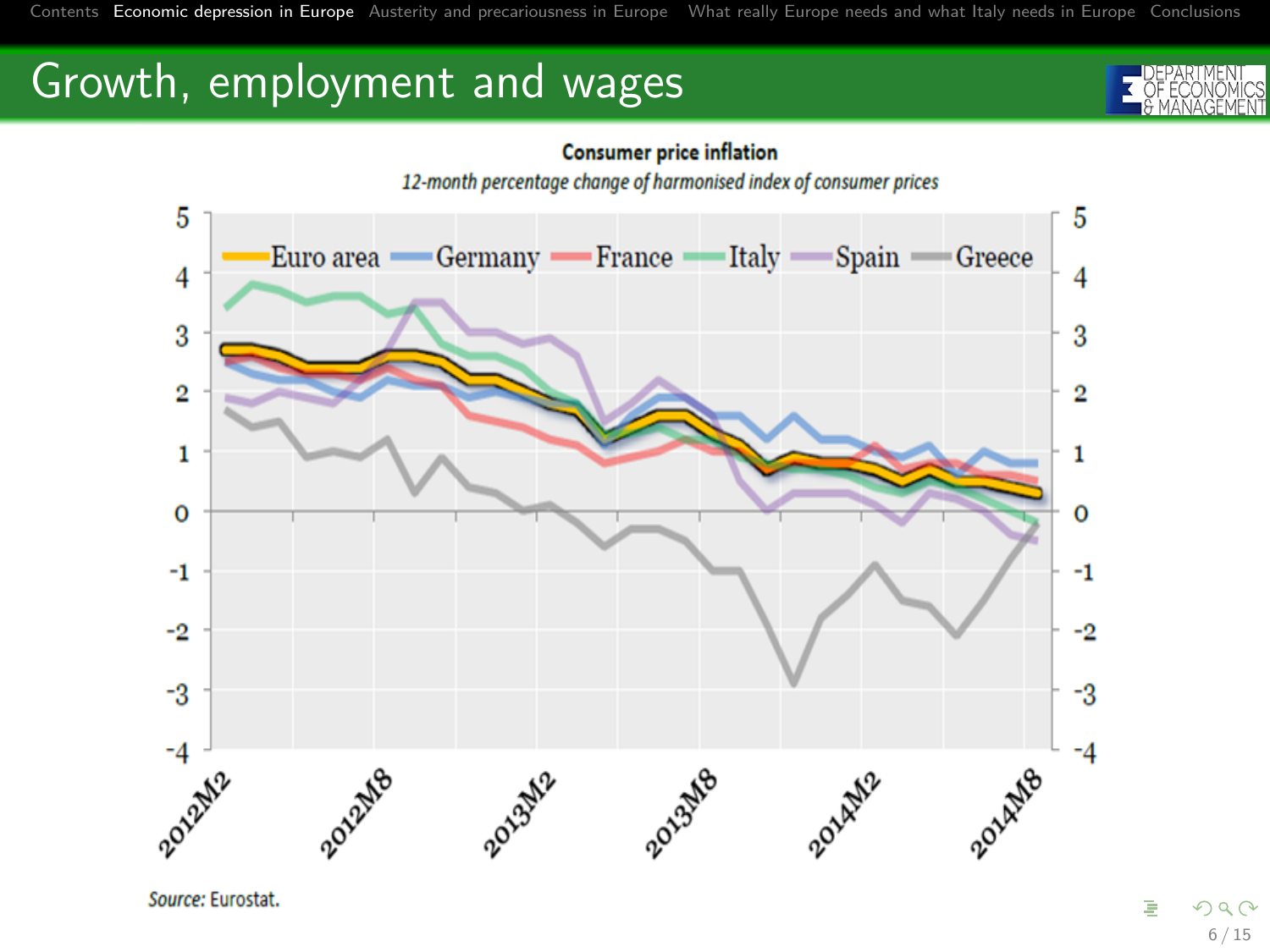[Contents](#page-1-0) [Economic depression in Europe](#page-4-0) [Austerity and precariousness in Europe](#page-12-0) [What really Europe needs and what Italy needs in Europe](#page-25-0) [Conclusions](#page-42-0)

### Growth, employment and wages





Source: Eurostat.

É  $990$ 6 / 15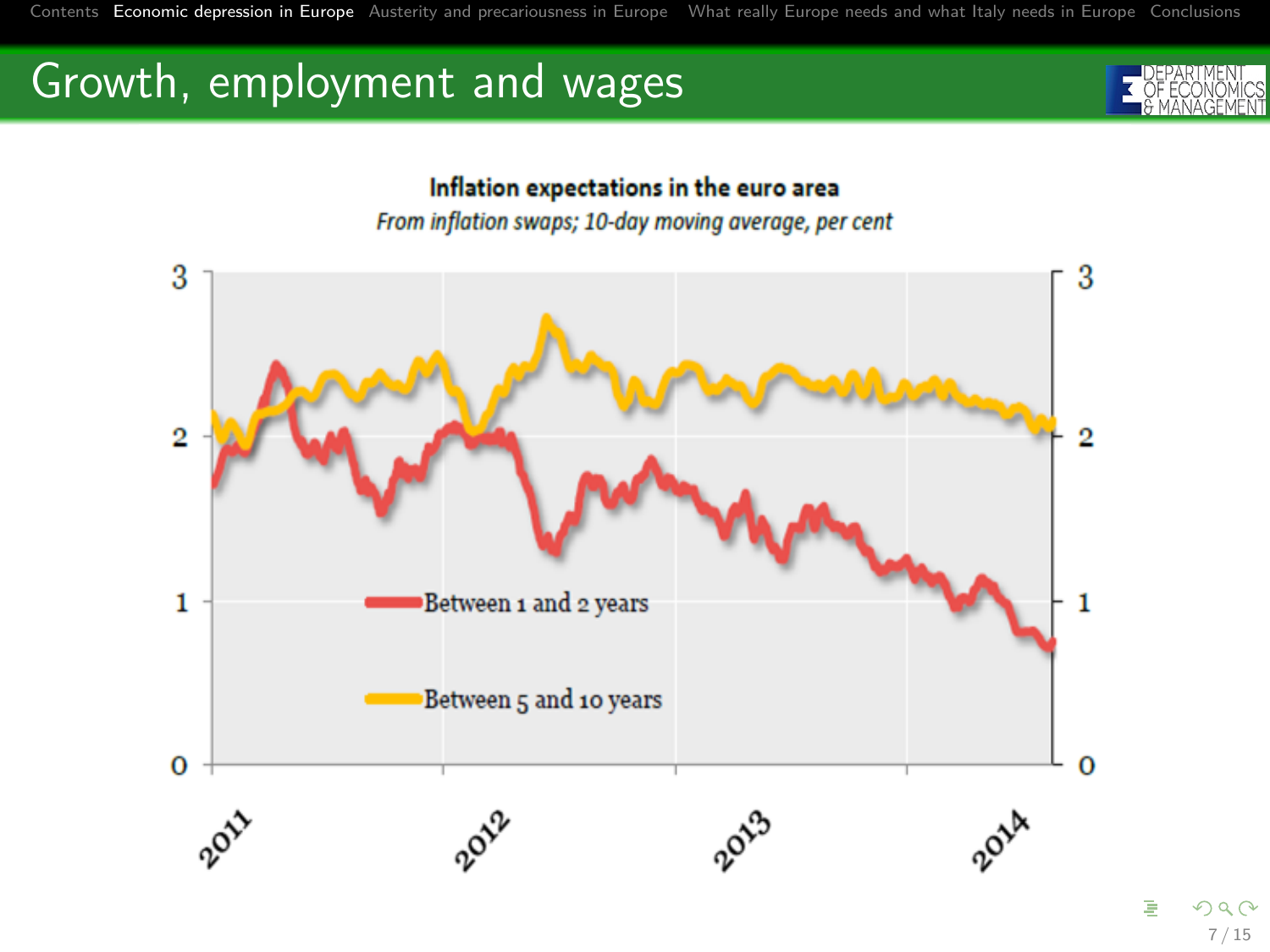[Contents](#page-1-0) [Economic depression in Europe](#page-4-0) [Austerity and precariousness in Europe](#page-12-0) [What really Europe needs and what Italy needs in Europe](#page-25-0) [Conclusions](#page-42-0)

# Growth, employment and wages



#### Inflation expectations in the euro area

From inflation swaps; 10-day moving average, per cent



7 / 15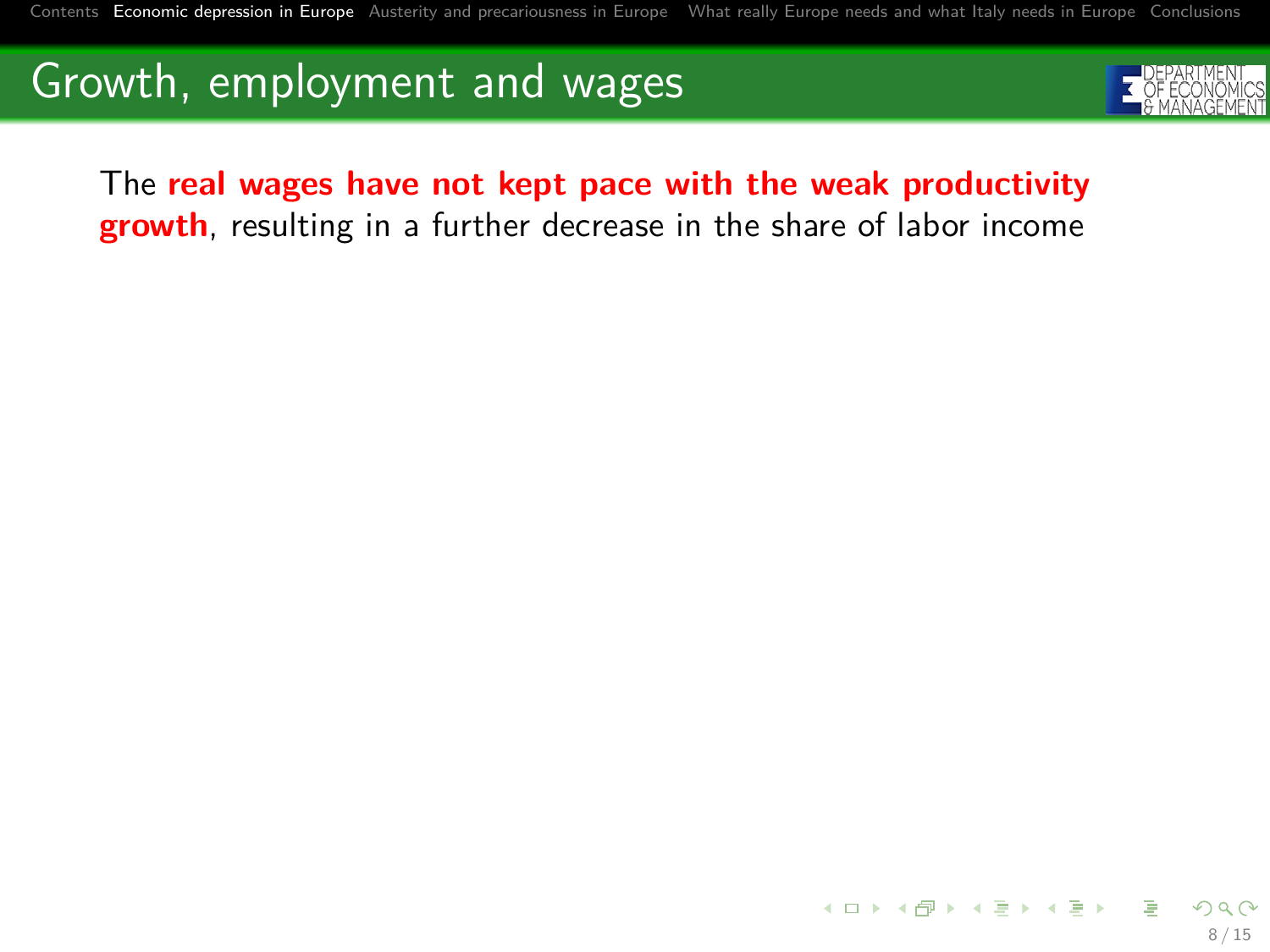

The **real wages have not kept pace with the weak productivity growth**, resulting in a further decrease in the share of labor income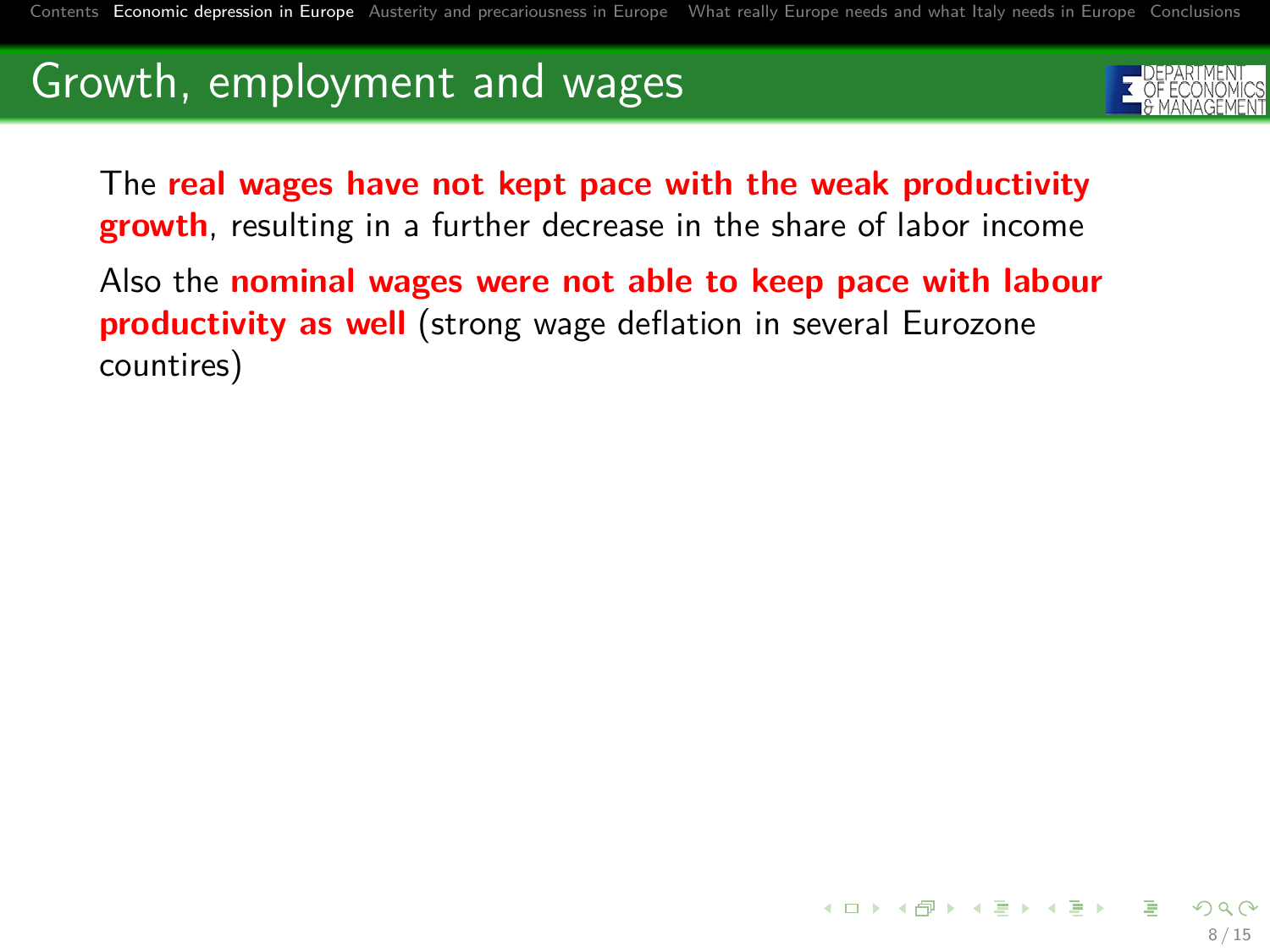<span id="page-12-0"></span>

The **real wages have not kept pace with the weak productivity growth**, resulting in a further decrease in the share of labor income

Also the **nominal wages were not able to keep pace with labour productivity as well** (strong wage deflation in several Eurozone countires)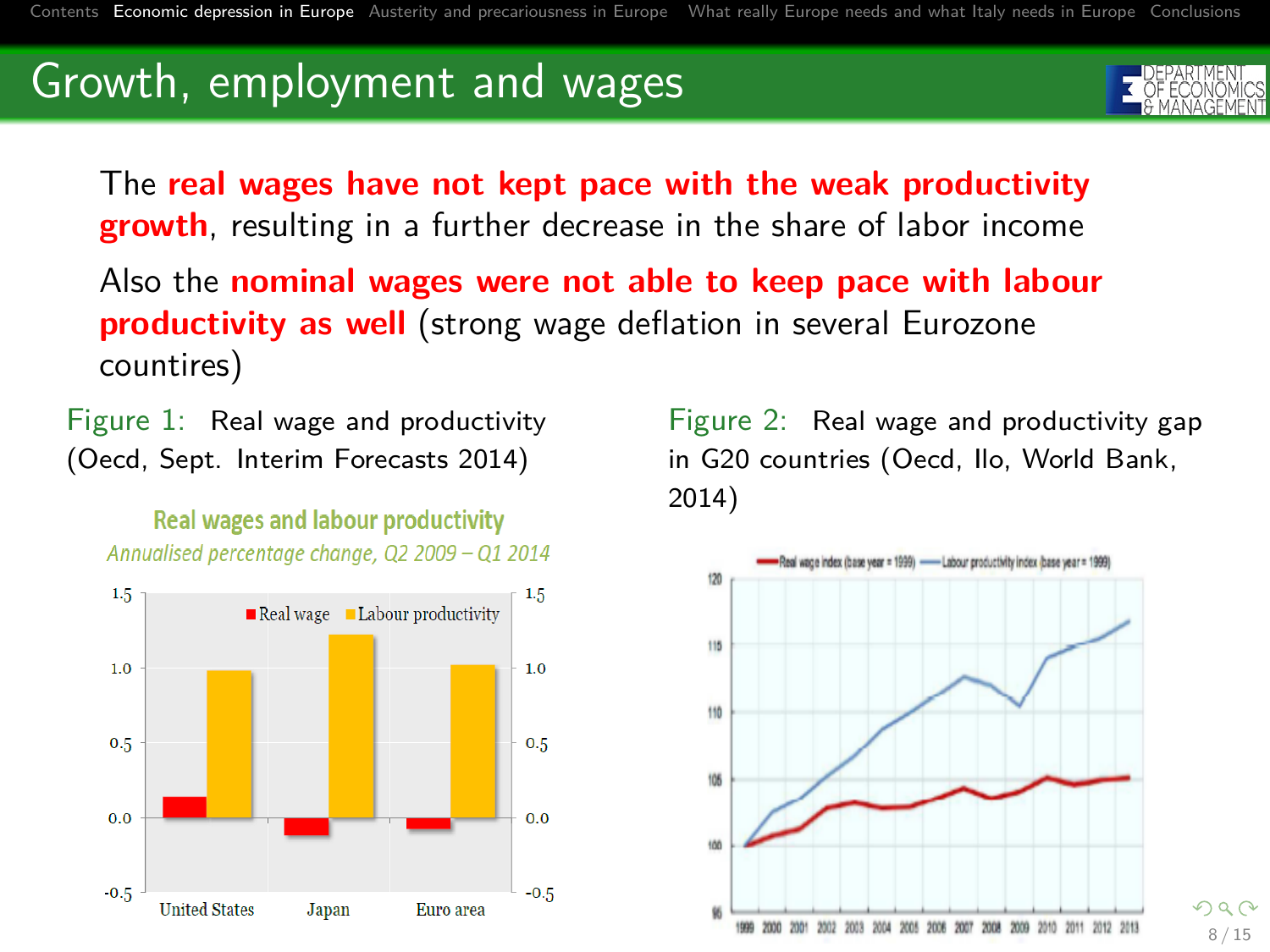The **real wages have not kept pace with the weak productivity growth**, resulting in a further decrease in the share of labor income

Also the **nominal wages were not able to keep pace with labour productivity as well** (strong wage deflation in several Eurozone countires)

Figure 1: Real wage and productivity (Oecd, Sept. Interim Forecasts 2014)

**Real wages and labour productivity** Annualised percentage change, Q2 2009 - Q1 2014



Figure 2: Real wage and productivity gap in G20 countries (Oecd, Ilo, World Bank, 2014)



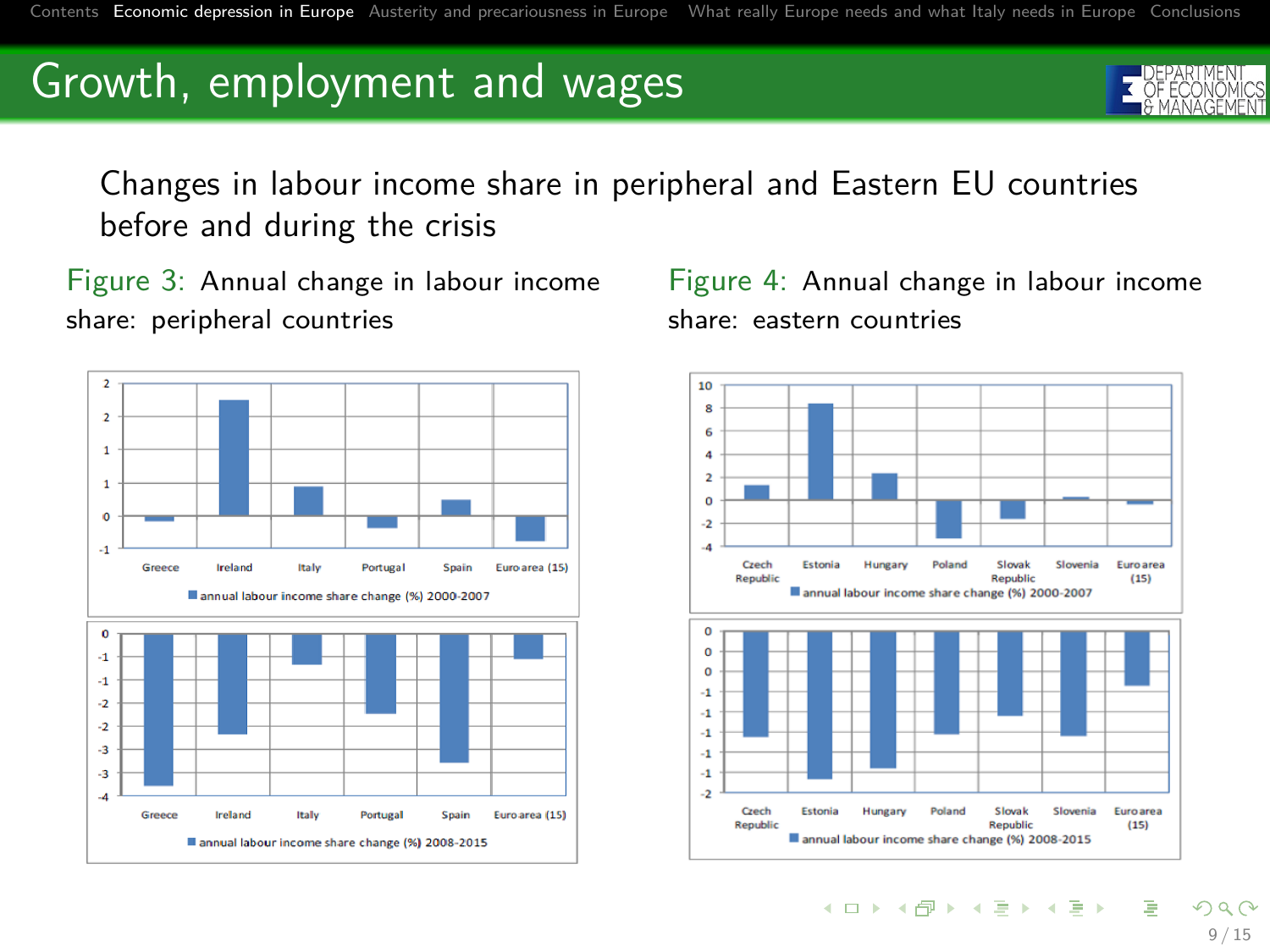Changes in labour income share in peripheral and Eastern EU countries before and during the crisis

Figure 3: Annual change in labour income share: peripheral countries



Figure 4: Annual change in labour income share: eastern countries



イロト イ部 トイミト イミト

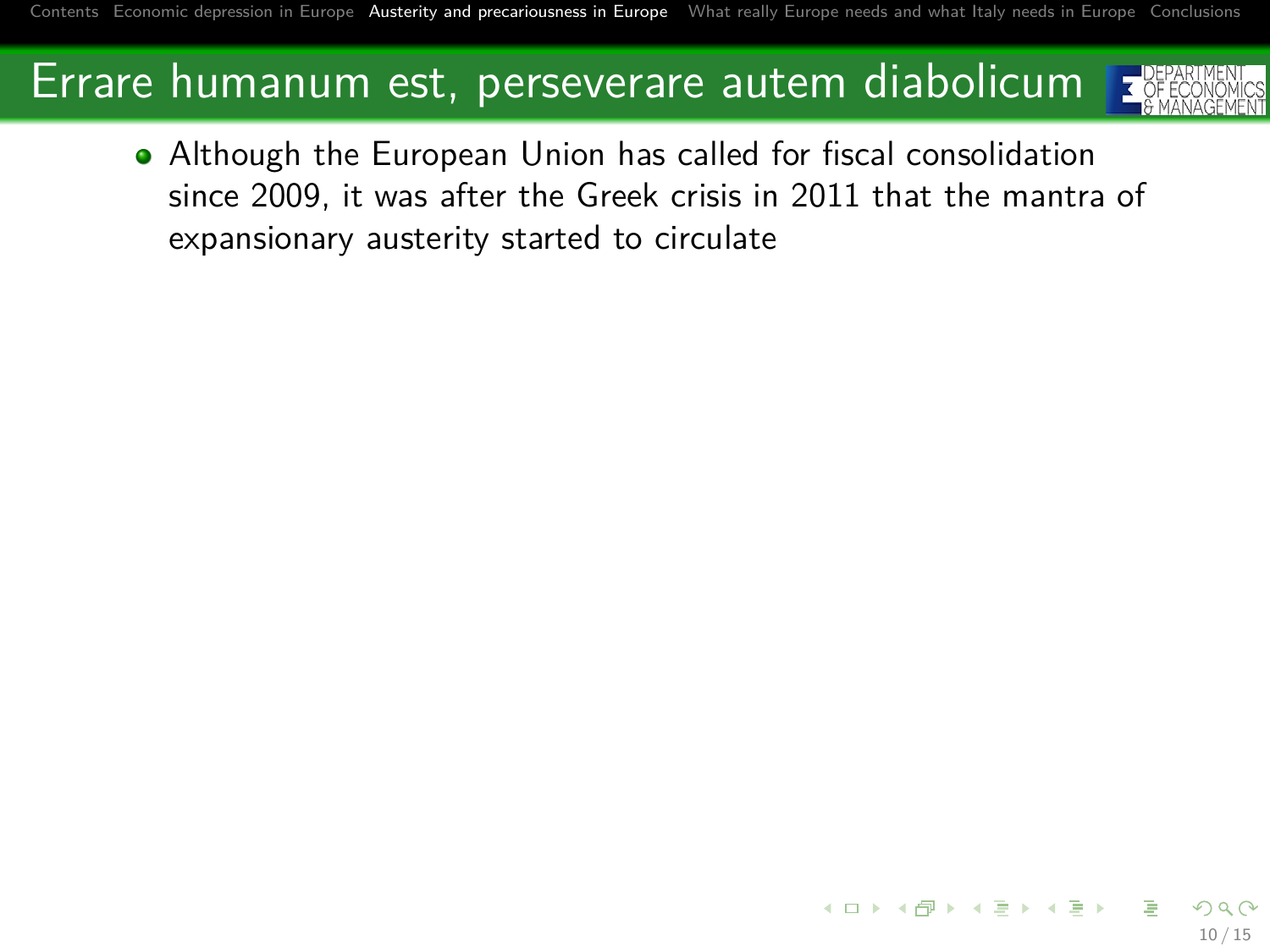### Errare humanum est, perseverare autem diabolicum



Although the European Union has called for fiscal consolidation since 2009, it was after the Greek crisis in 2011 that the mantra of expansionary austerity started to circulate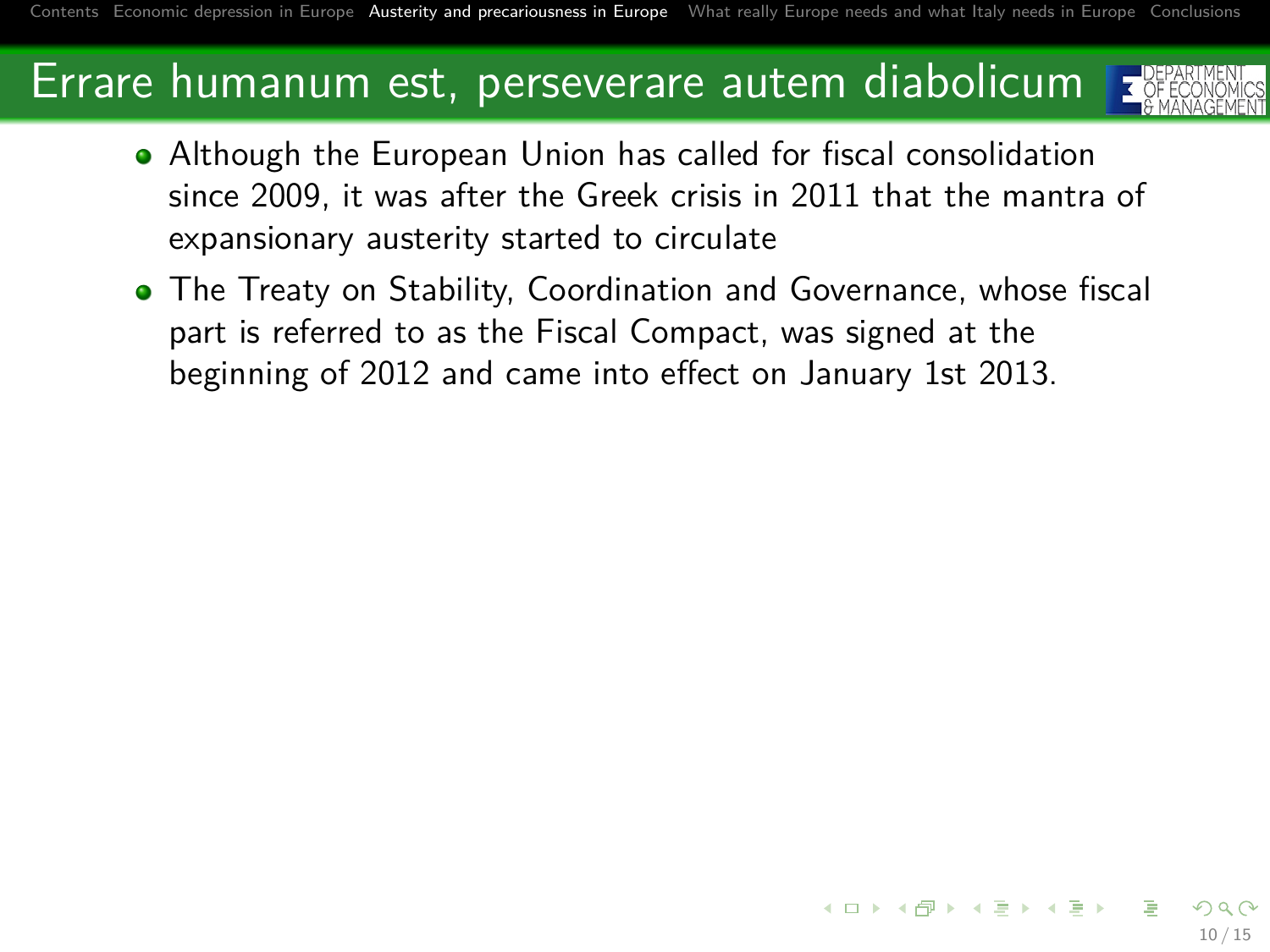### Errare humanum est, perseverare autem diabolicum



10 / 15

- Although the European Union has called for fiscal consolidation since 2009, it was after the Greek crisis in 2011 that the mantra of expansionary austerity started to circulate
- The Treaty on Stability, Coordination and Governance, whose fiscal part is referred to as the Fiscal Compact, was signed at the beginning of 2012 and came into effect on January 1st 2013.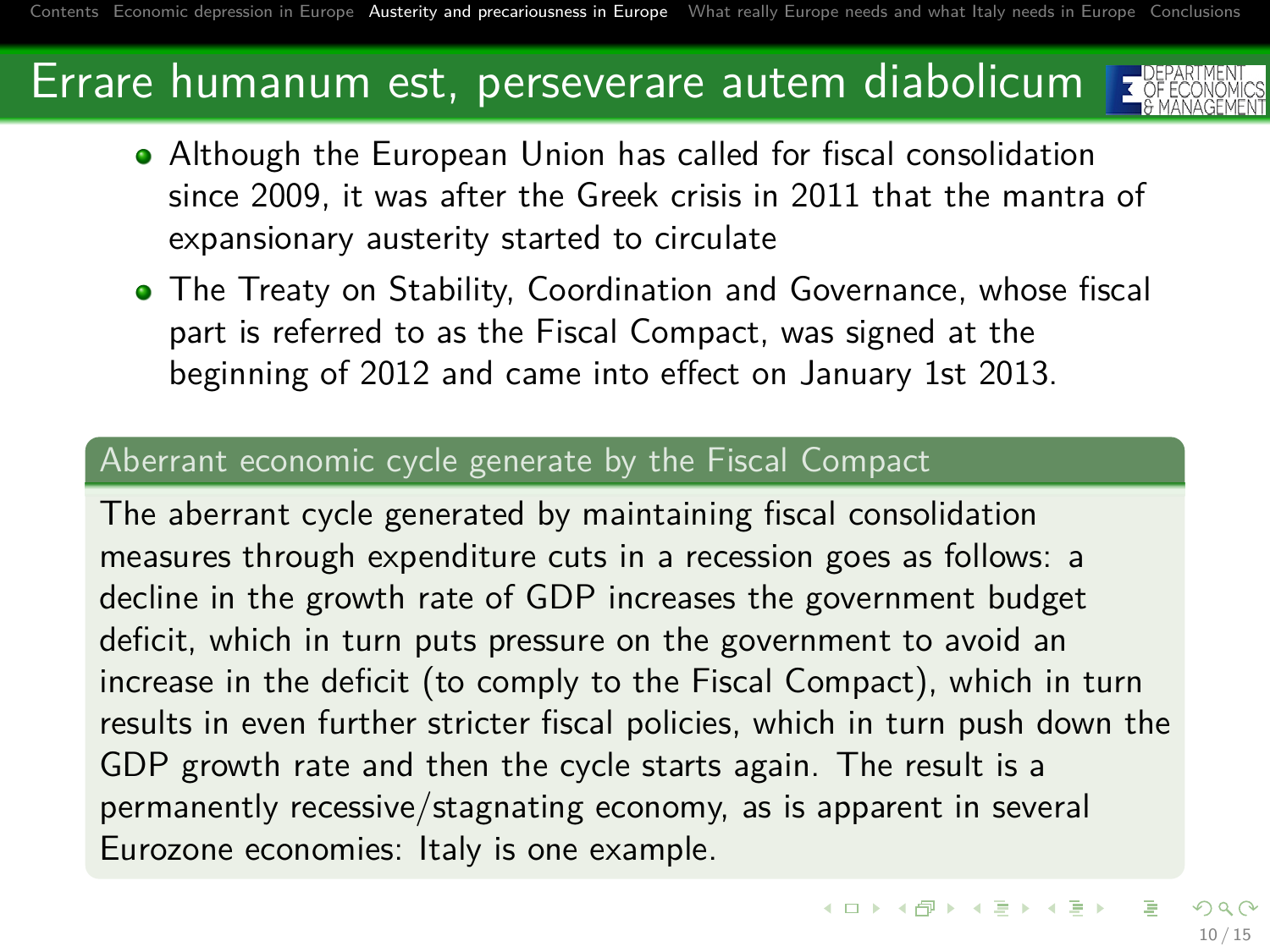### Errare humanum est, perseverare autem diabolicum



- Although the European Union has called for fiscal consolidation since 2009, it was after the Greek crisis in 2011 that the mantra of expansionary austerity started to circulate
- The Treaty on Stability, Coordination and Governance, whose fiscal part is referred to as the Fiscal Compact, was signed at the beginning of 2012 and came into effect on January 1st 2013.

#### Aberrant economic cycle generate by the Fiscal Compact

The aberrant cycle generated by maintaining fiscal consolidation measures through expenditure cuts in a recession goes as follows: a decline in the growth rate of GDP increases the government budget deficit, which in turn puts pressure on the government to avoid an increase in the deficit (to comply to the Fiscal Compact), which in turn results in even further stricter fiscal policies, which in turn push down the GDP growth rate and then the cycle starts again. The result is a permanently recessive/stagnating economy, as is apparent in several Eurozone economies: Italy is one example.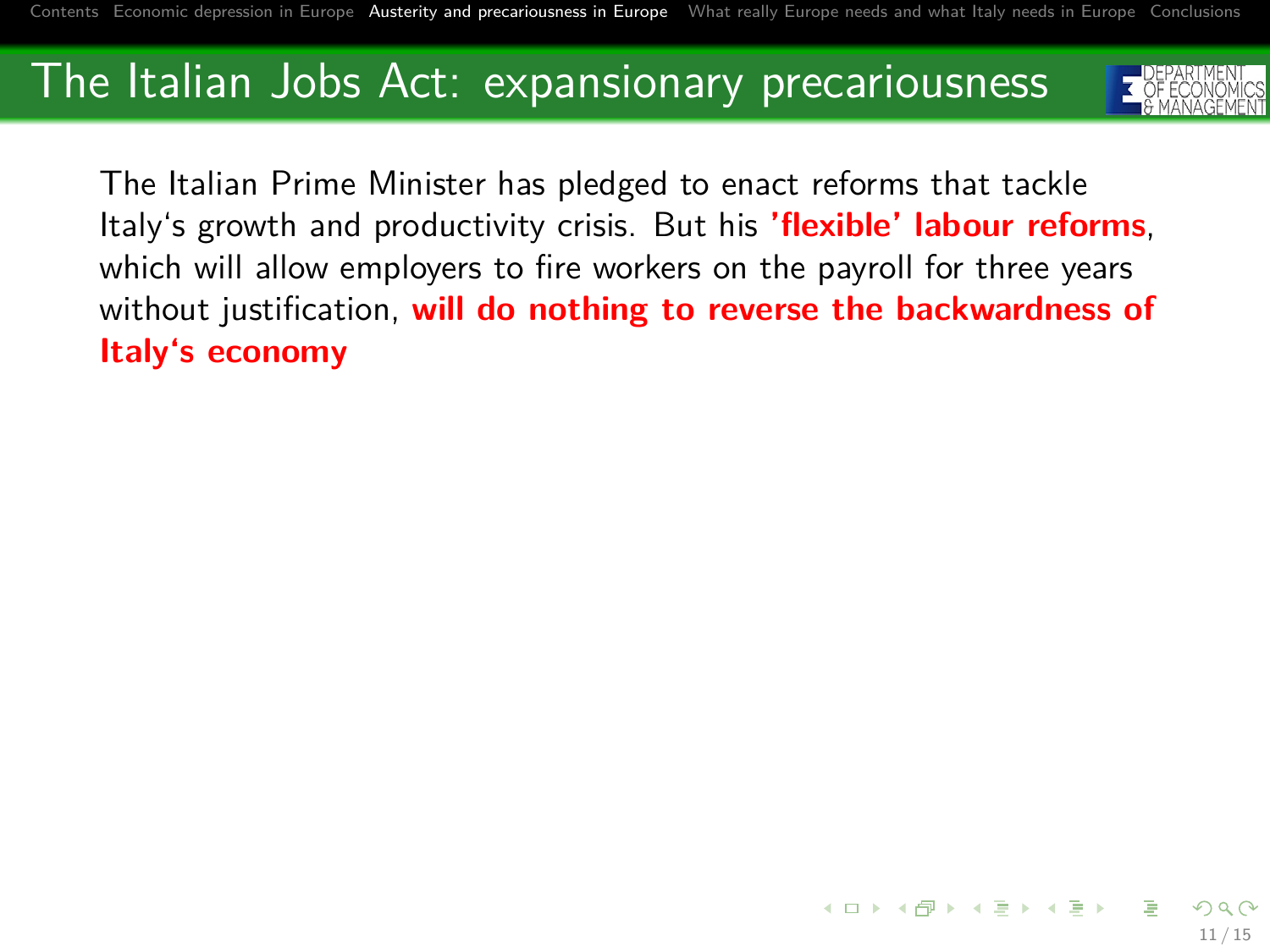

The Italian Prime Minister has pledged to enact reforms that tackle Italy's growth and productivity crisis. But his **'flexible' labour reforms**, which will allow employers to fire workers on the payroll for three years without justification, **will do nothing to reverse the backwardness of Italy's economy**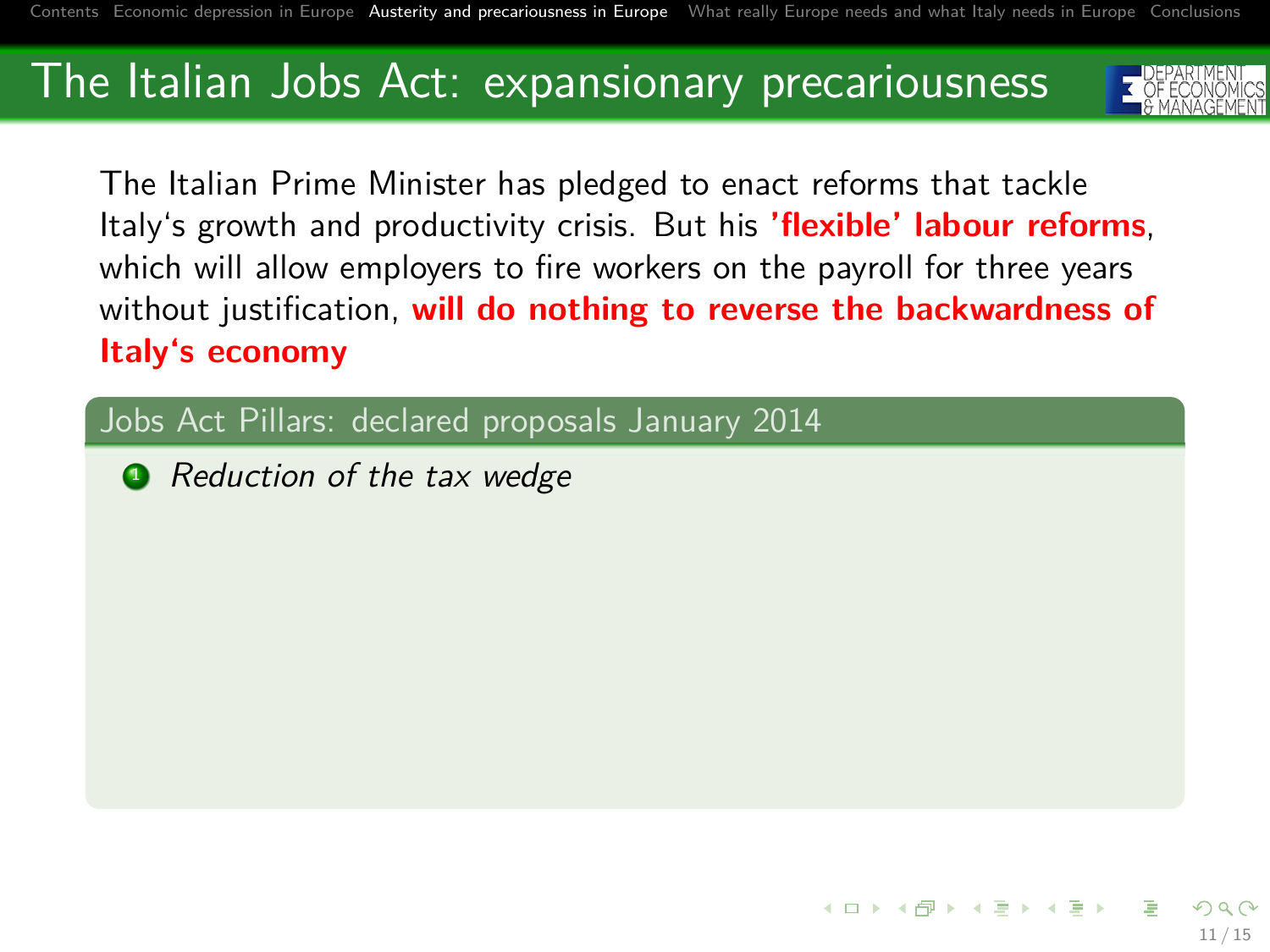

The Italian Prime Minister has pledged to enact reforms that tackle Italy's growth and productivity crisis. But his **'flexible' labour reforms**, which will allow employers to fire workers on the payroll for three years without justification, **will do nothing to reverse the backwardness of Italy's economy**

Jobs Act Pillars: declared proposals January 2014

• Reduction of the tax wedge

イロト イ部 トイミト イミト 11 / 15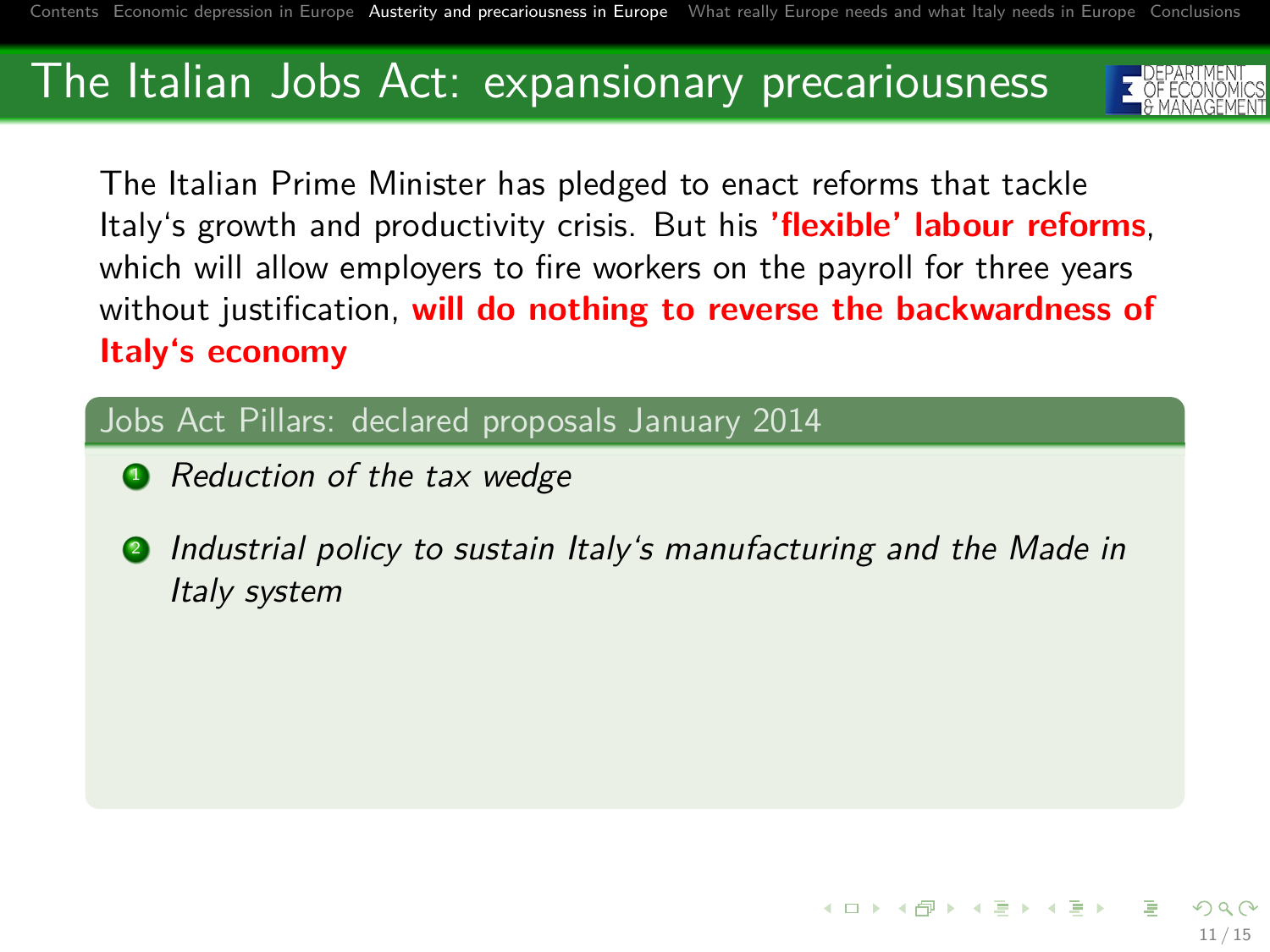

The Italian Prime Minister has pledged to enact reforms that tackle Italy's growth and productivity crisis. But his **'flexible' labour reforms**, which will allow employers to fire workers on the payroll for three years without justification, **will do nothing to reverse the backwardness of Italy's economy**

#### Jobs Act Pillars: declared proposals January 2014

- Reduction of the tax wedge
- **2** Industrial policy to sustain Italy's manufacturing and the Made in Italy system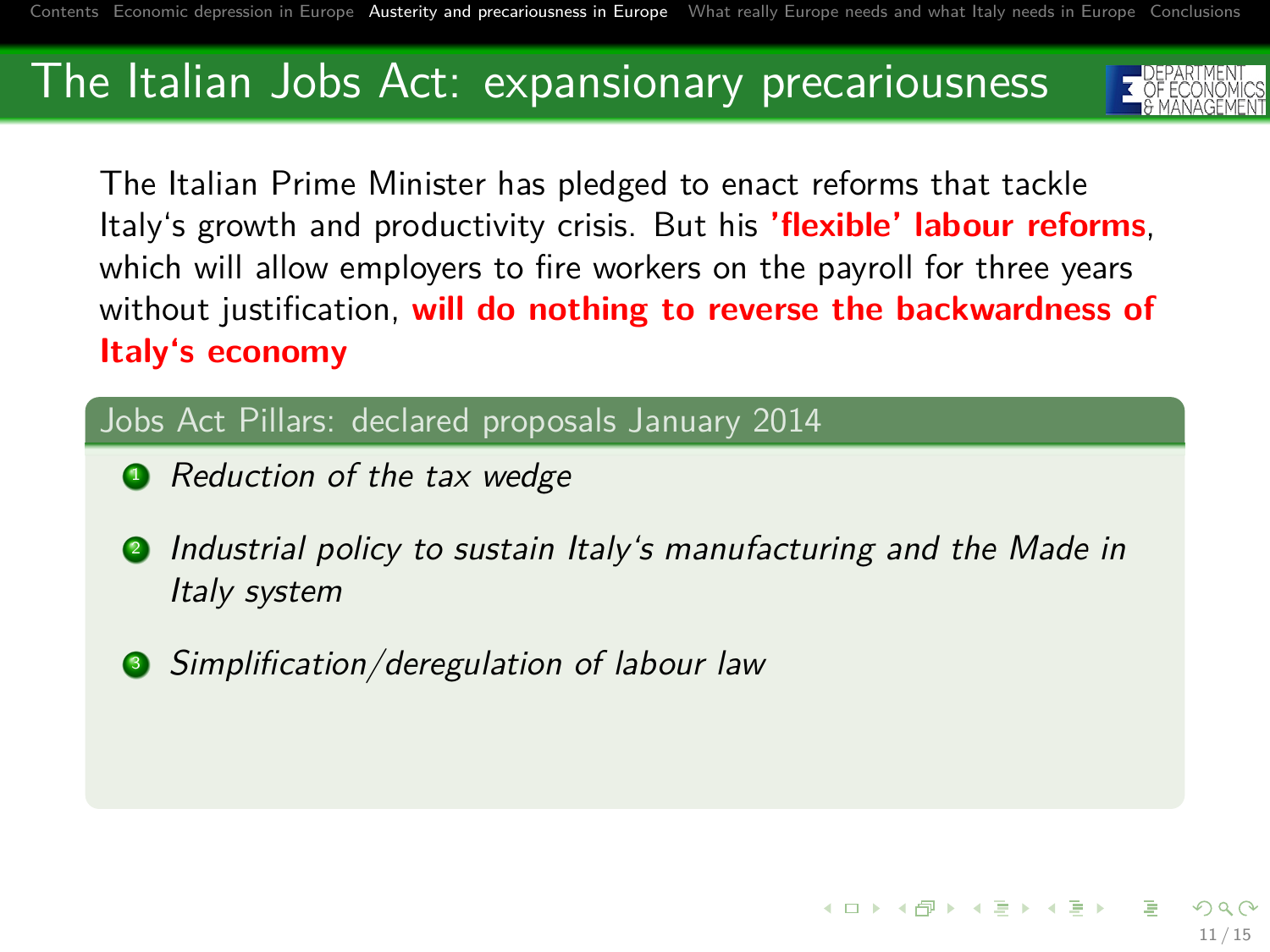

The Italian Prime Minister has pledged to enact reforms that tackle Italy's growth and productivity crisis. But his **'flexible' labour reforms**, which will allow employers to fire workers on the payroll for three years without justification, **will do nothing to reverse the backwardness of Italy's economy**

#### Jobs Act Pillars: declared proposals January 2014

- Reduction of the tax wedge
- **2** Industrial policy to sustain Italy's manufacturing and the Made in Italy system
- **3** Simplification/deregulation of labour law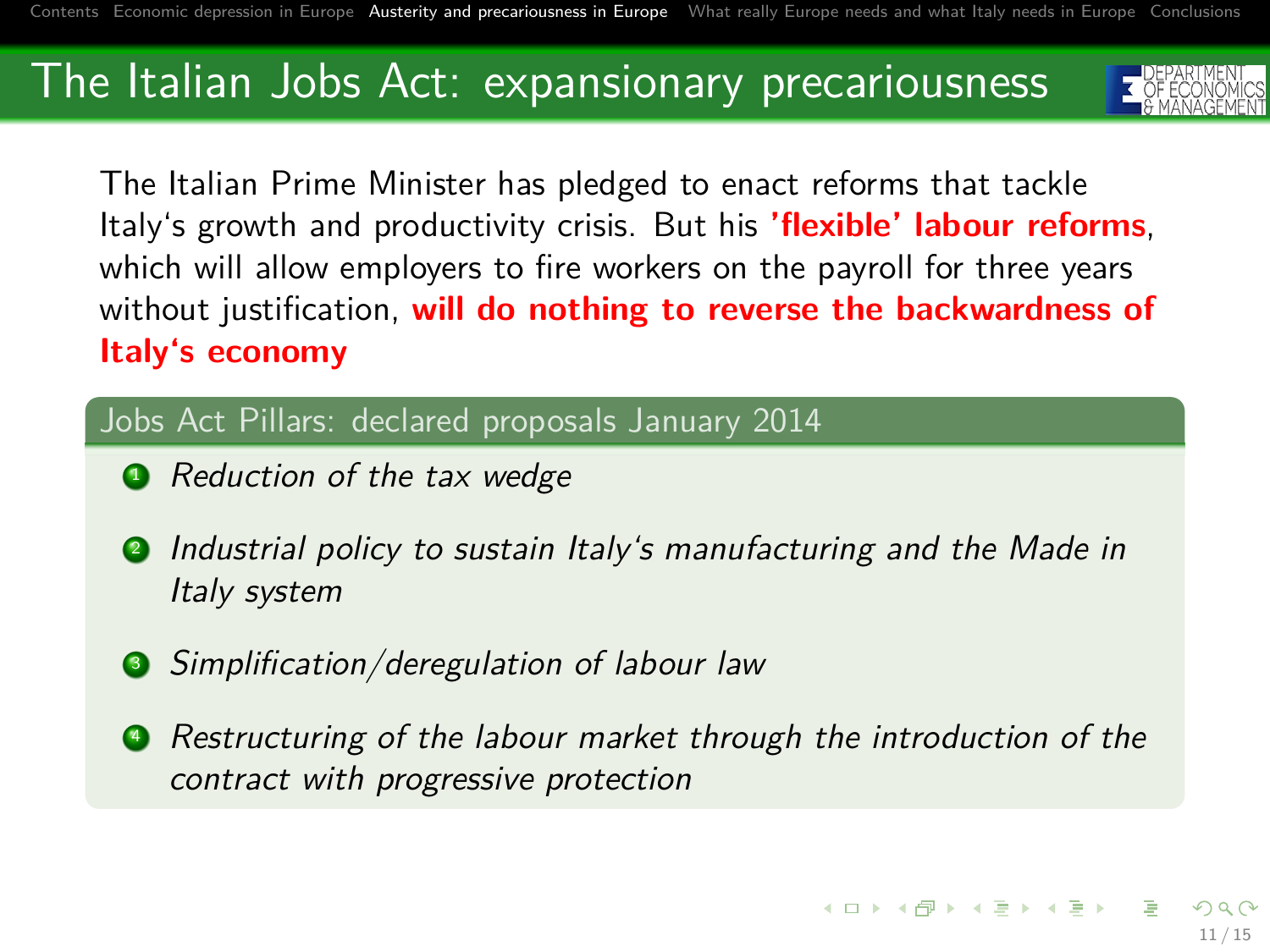

The Italian Prime Minister has pledged to enact reforms that tackle Italy's growth and productivity crisis. But his **'flexible' labour reforms**, which will allow employers to fire workers on the payroll for three years without justification, **will do nothing to reverse the backwardness of Italy's economy**

#### Jobs Act Pillars: declared proposals January 2014

- Reduction of the tax wedge
- **2** Industrial policy to sustain Italy's manufacturing and the Made in Italy system
- **3** Simplification/deregulation of labour law
- **•** Restructuring of the labour market through the introduction of the contract with progressive protection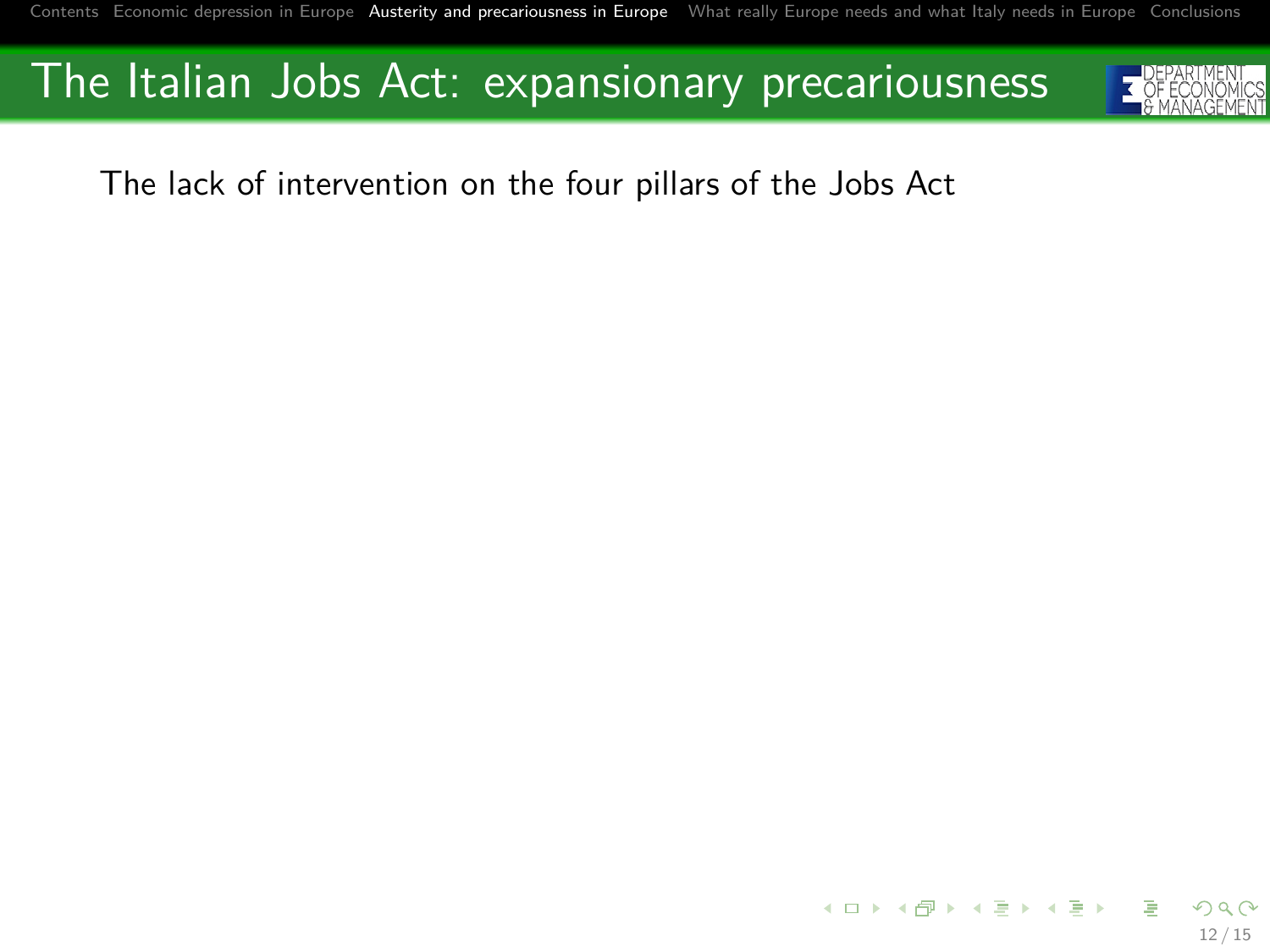

The lack of intervention on the four pillars of the Jobs Act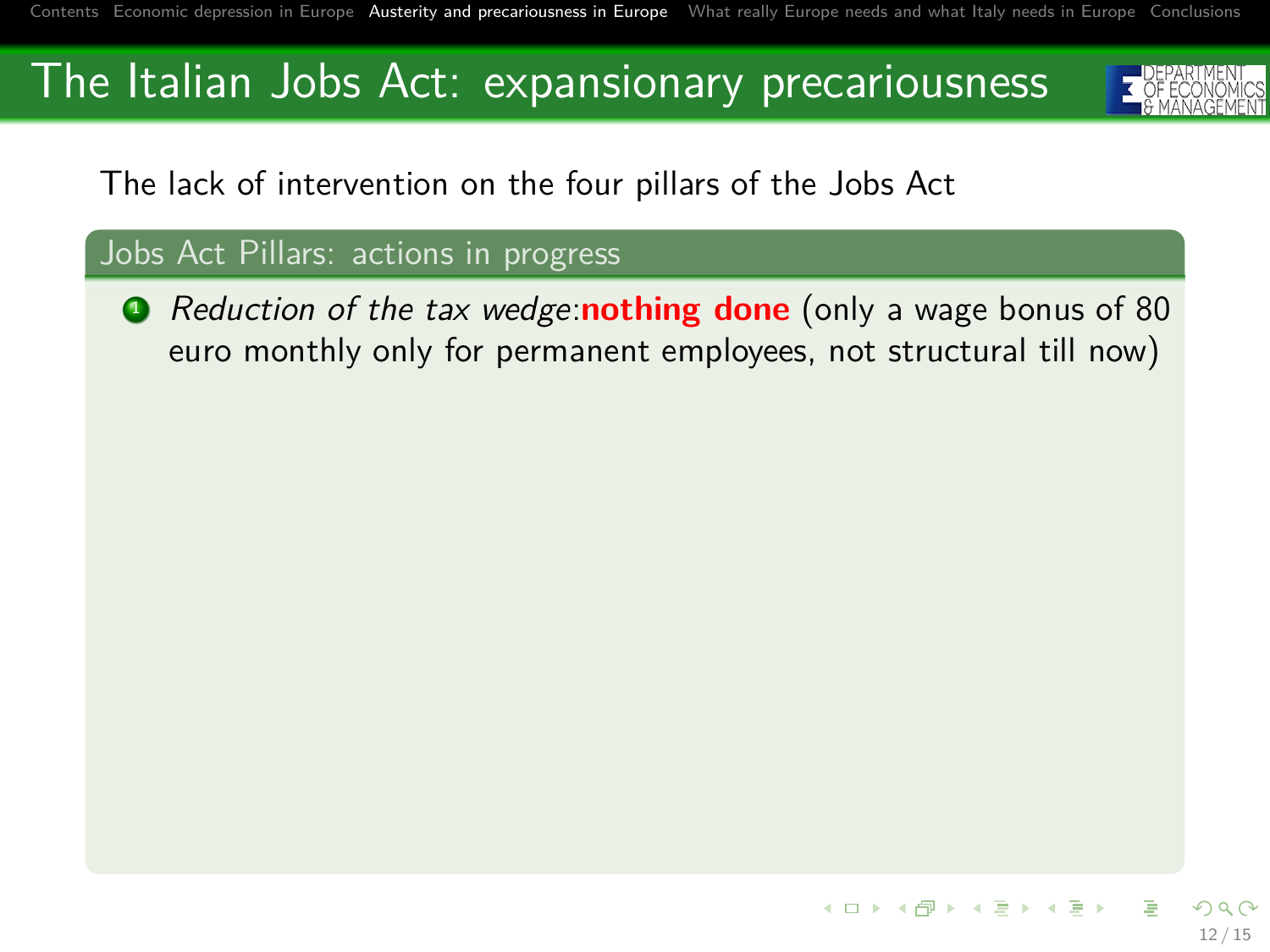

The lack of intervention on the four pillars of the Jobs Act

#### Jobs Act Pillars: actions in progress

**1** Reduction of the tax wedge:**nothing done** (only a wage bonus of 80 euro monthly only for permanent employees, not structural till now)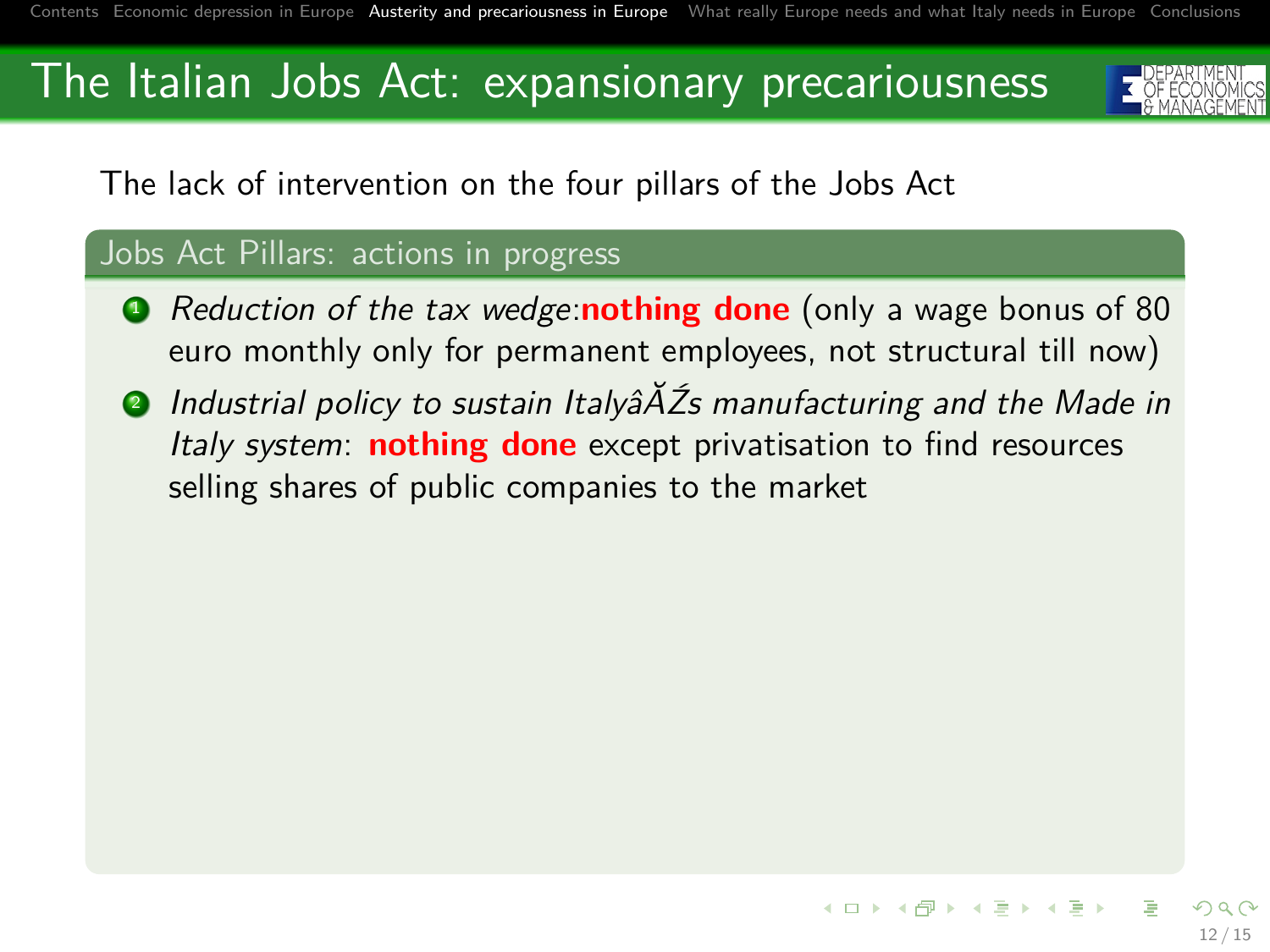<span id="page-25-0"></span>

The lack of intervention on the four pillars of the Jobs Act

#### Jobs Act Pillars: actions in progress

- **1** Reduction of the tax wedge:**nothing done** (only a wage bonus of 80 euro monthly only for permanent employees, not structural till now)
- **2** Industrial policy to sustain Italyâ $\tilde{A}$ Zs manufacturing and the Made in Italy system: **nothing done** except privatisation to find resources selling shares of public companies to the market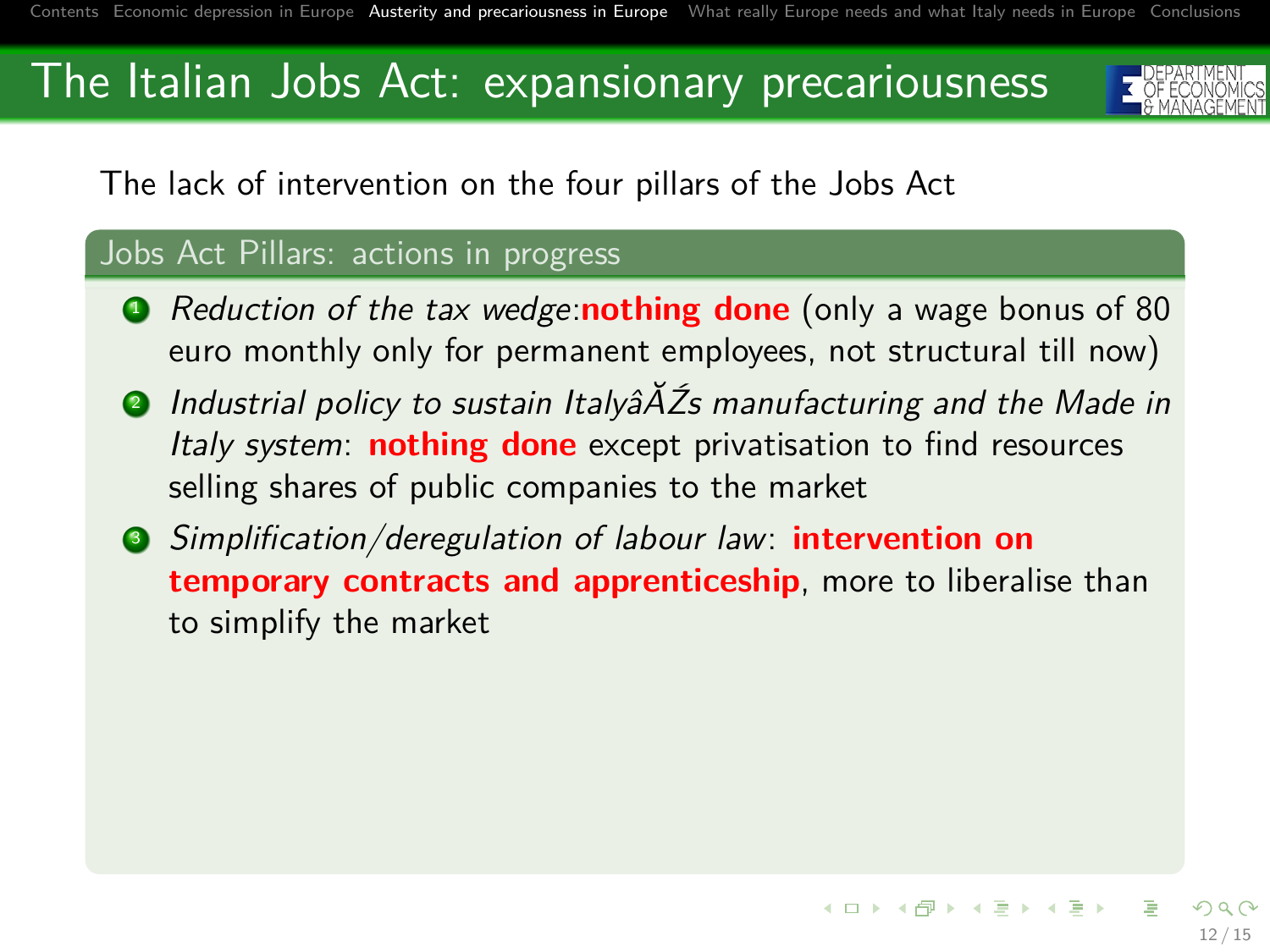

The lack of intervention on the four pillars of the Jobs Act

#### Jobs Act Pillars: actions in progress

- **1** Reduction of the tax wedge:**nothing done** (only a wage bonus of 80 euro monthly only for permanent employees, not structural till now)
- **2** Industrial policy to sustain Italyâ $\tilde{A}$ Zs manufacturing and the Made in Italy system: **nothing done** except privatisation to find resources selling shares of public companies to the market
- <sup>3</sup> Simplification/deregulation of labour law: **intervention on temporary contracts and apprenticeship**, more to liberalise than to simplify the market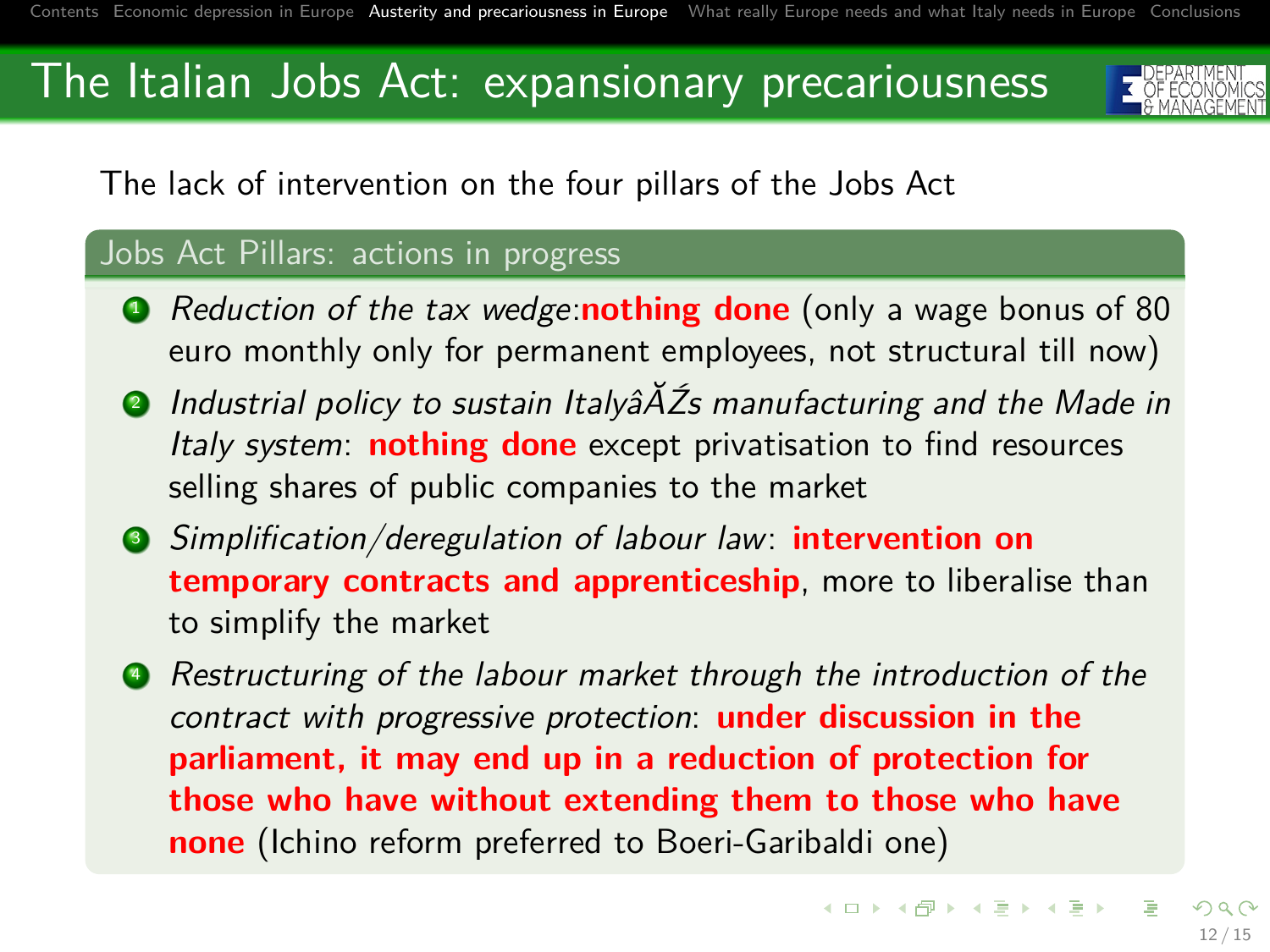

The lack of intervention on the four pillars of the Jobs Act

#### Jobs Act Pillars: actions in progress

- **1** Reduction of the tax wedge:**nothing done** (only a wage bonus of 80 euro monthly only for permanent employees, not structural till now)
- **2** Industrial policy to sustain Italyâ $\tilde{A}$ Zs manufacturing and the Made in Italy system: **nothing done** except privatisation to find resources selling shares of public companies to the market
- <sup>3</sup> Simplification/deregulation of labour law: **intervention on temporary contracts and apprenticeship**, more to liberalise than to simplify the market
- **4** Restructuring of the labour market through the introduction of the contract with progressive protection: **under discussion in the parliament, it may end up in a reduction of protection for those who have without extending them to those who have none** (Ichino reform preferred to Boeri-Garibaldi one)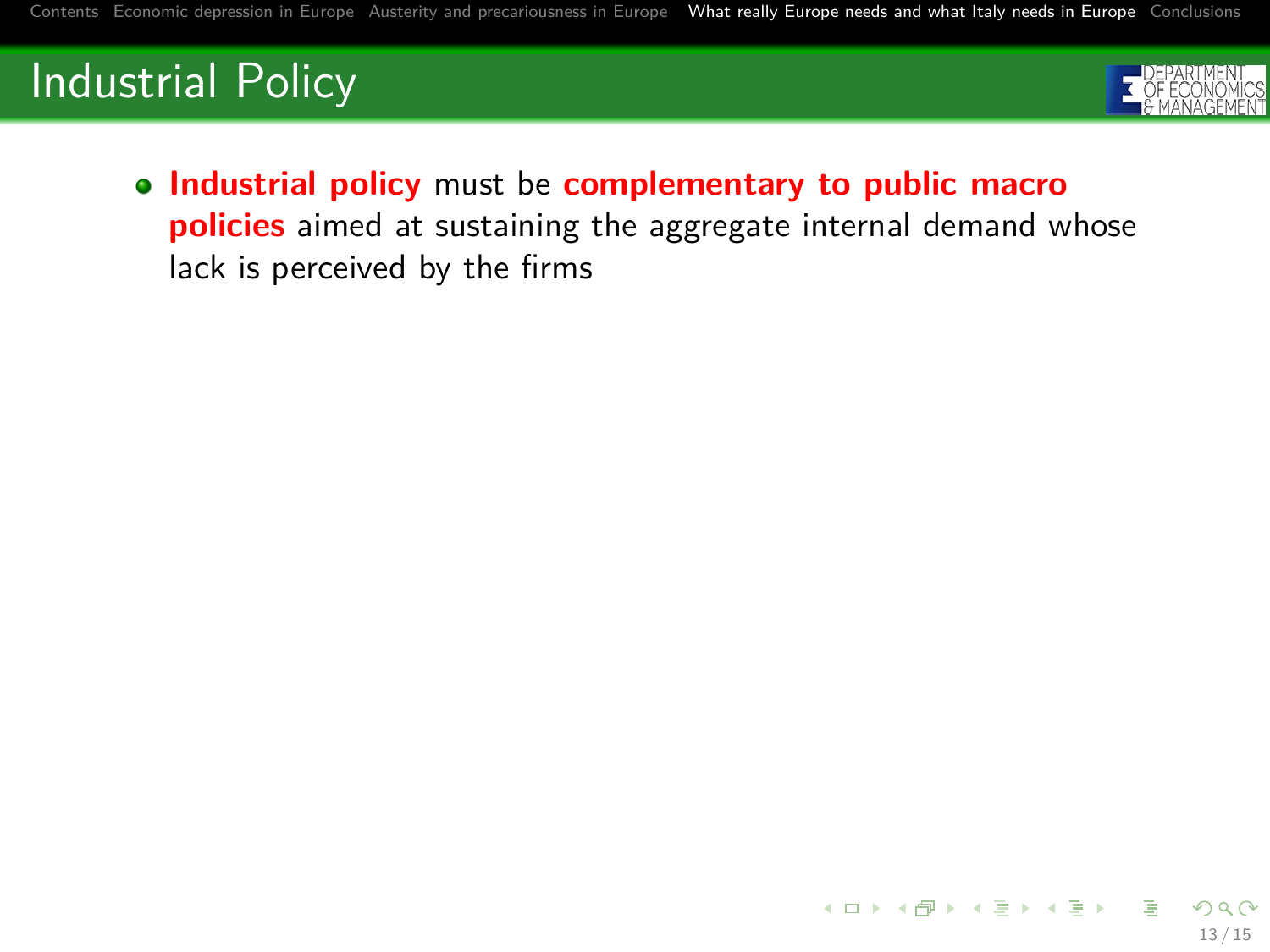# Industrial Policy



13 / 15

**Industrial policy** must be **complementary to public macro policies** aimed at sustaining the aggregate internal demand whose lack is perceived by the firms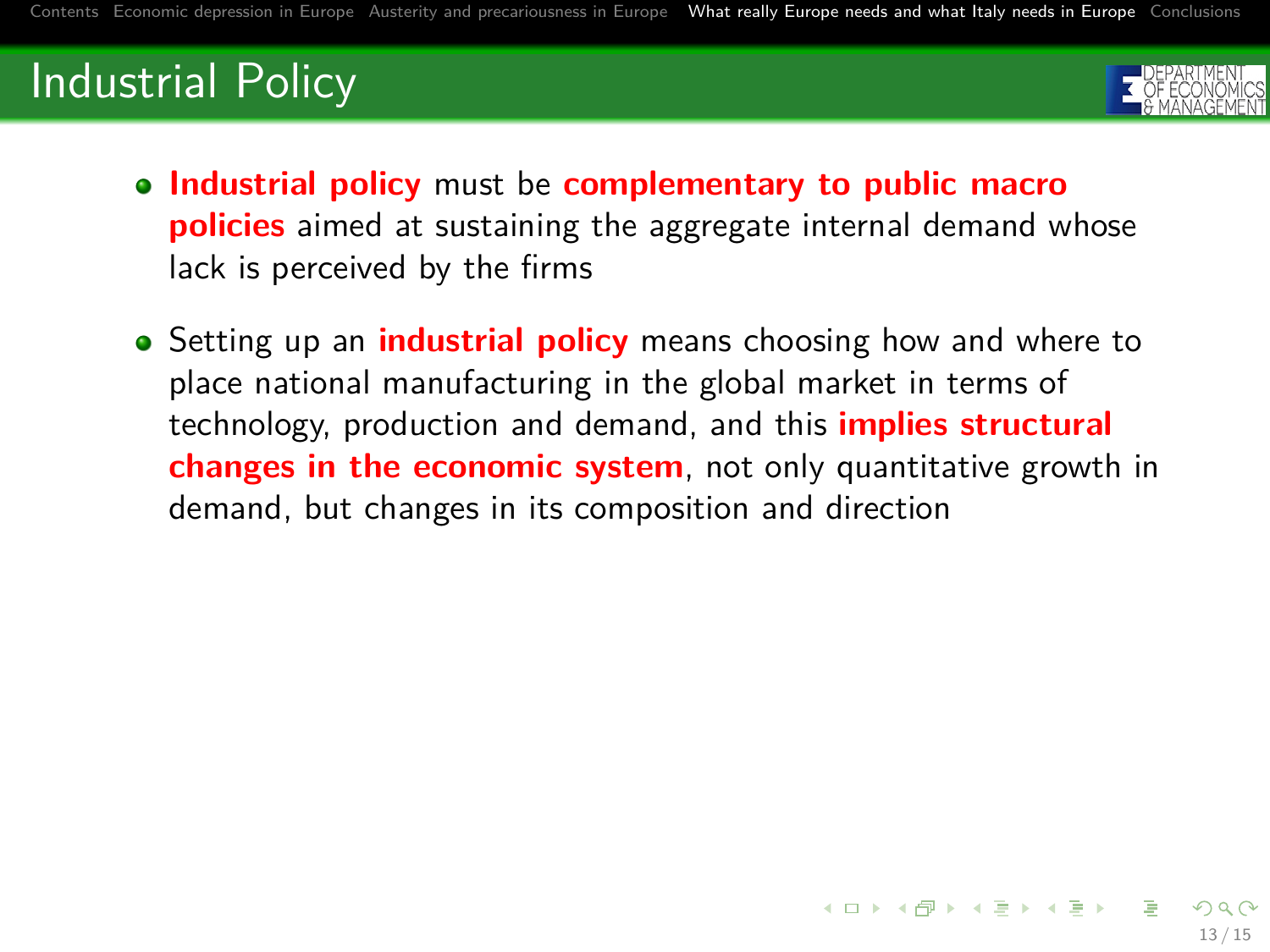# Industrial Policy



- **Industrial policy** must be **complementary to public macro policies** aimed at sustaining the aggregate internal demand whose lack is perceived by the firms
- **•** Setting up an **industrial policy** means choosing how and where to place national manufacturing in the global market in terms of technology, production and demand, and this **implies structural changes in the economic system**, not only quantitative growth in demand, but changes in its composition and direction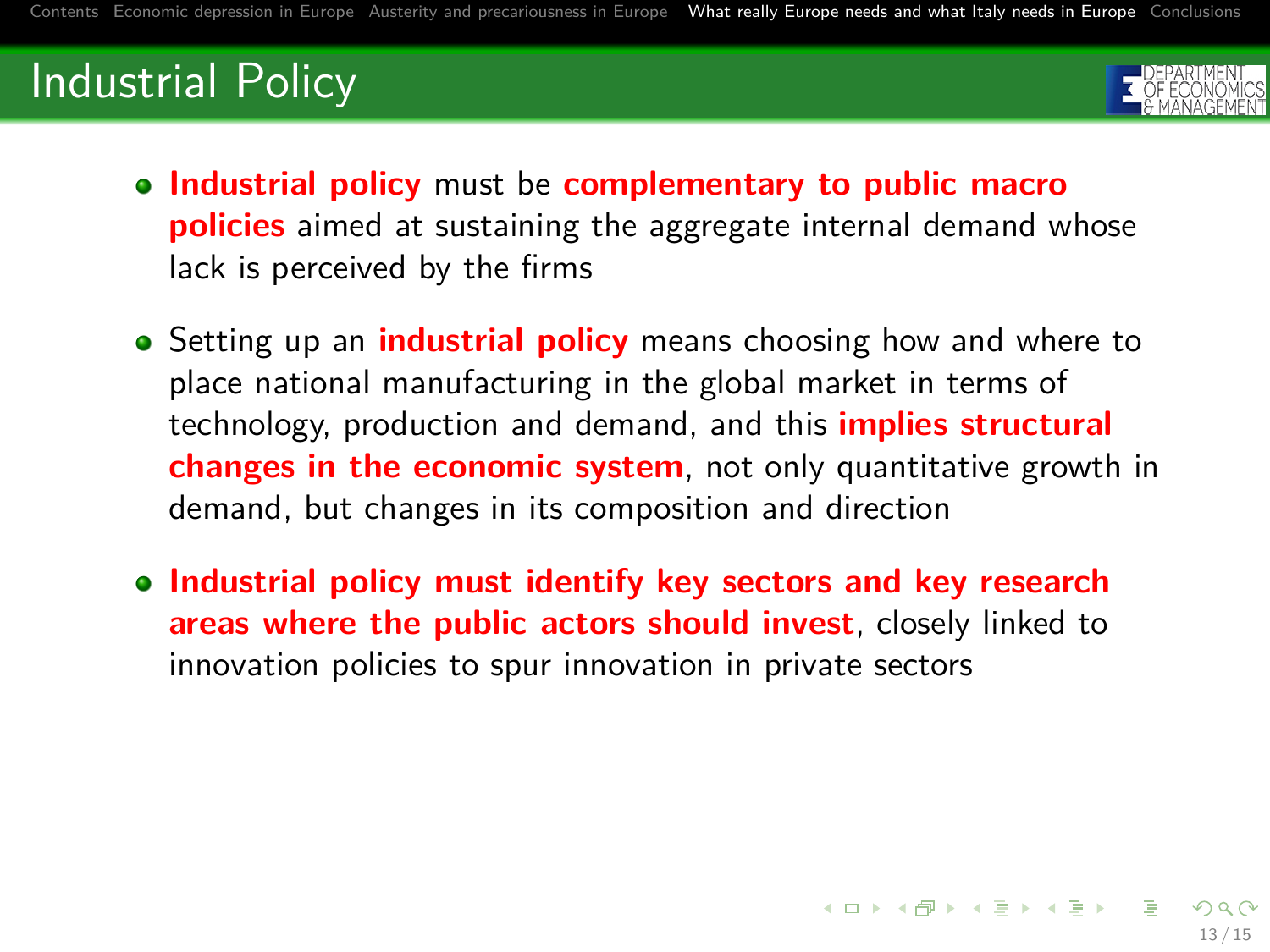# Industrial Policy



- **Industrial policy** must be **complementary to public macro policies** aimed at sustaining the aggregate internal demand whose lack is perceived by the firms
- **•** Setting up an **industrial policy** means choosing how and where to place national manufacturing in the global market in terms of technology, production and demand, and this **implies structural changes in the economic system**, not only quantitative growth in demand, but changes in its composition and direction
- **Industrial policy must identify key sectors and key research areas where the public actors should invest**, closely linked to innovation policies to spur innovation in private sectors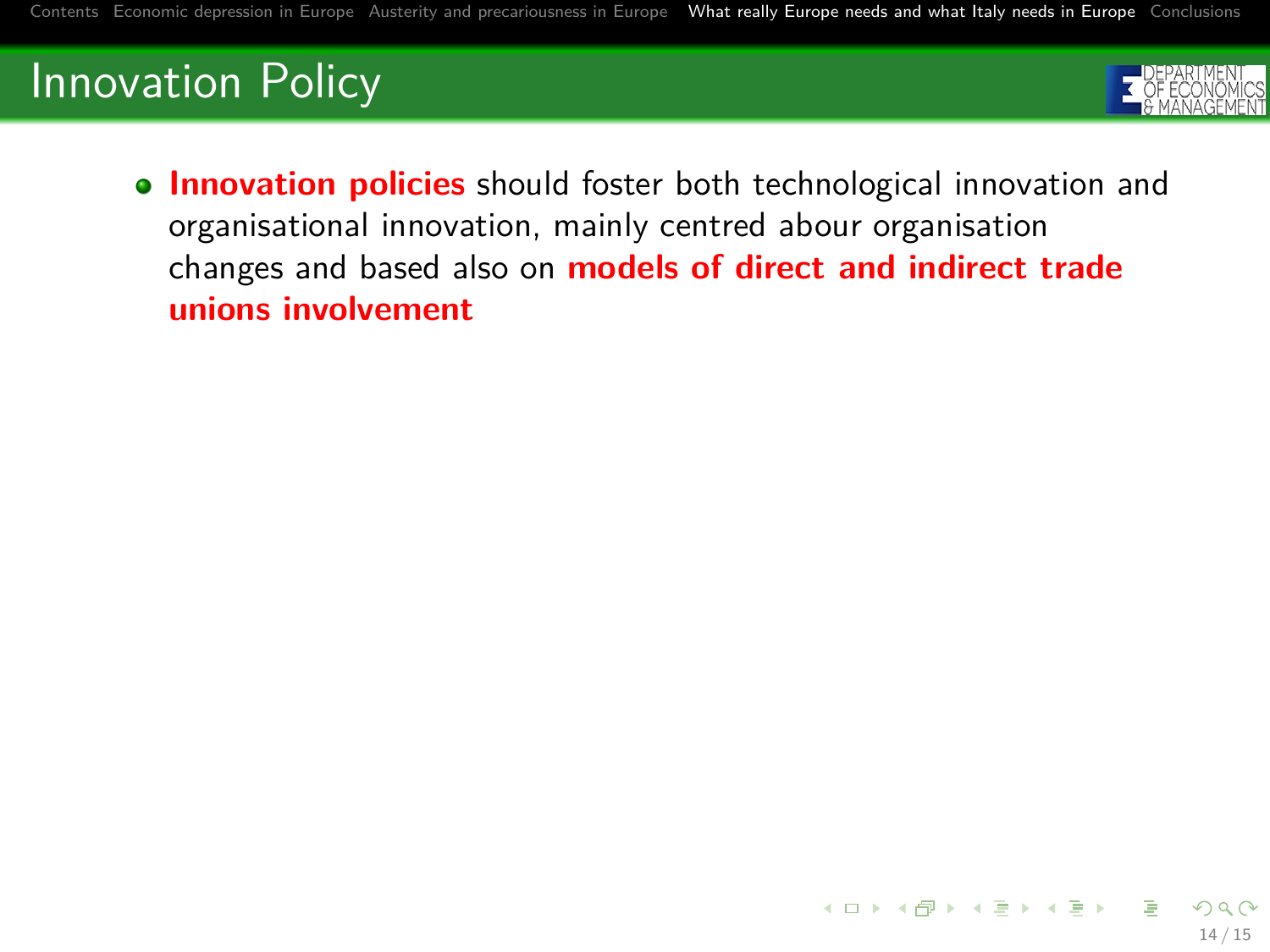# Innovation Policy



**Innovation policies** should foster both technological innovation and organisational innovation, mainly centred abour organisation changes and based also on **models of direct and indirect trade unions involvement**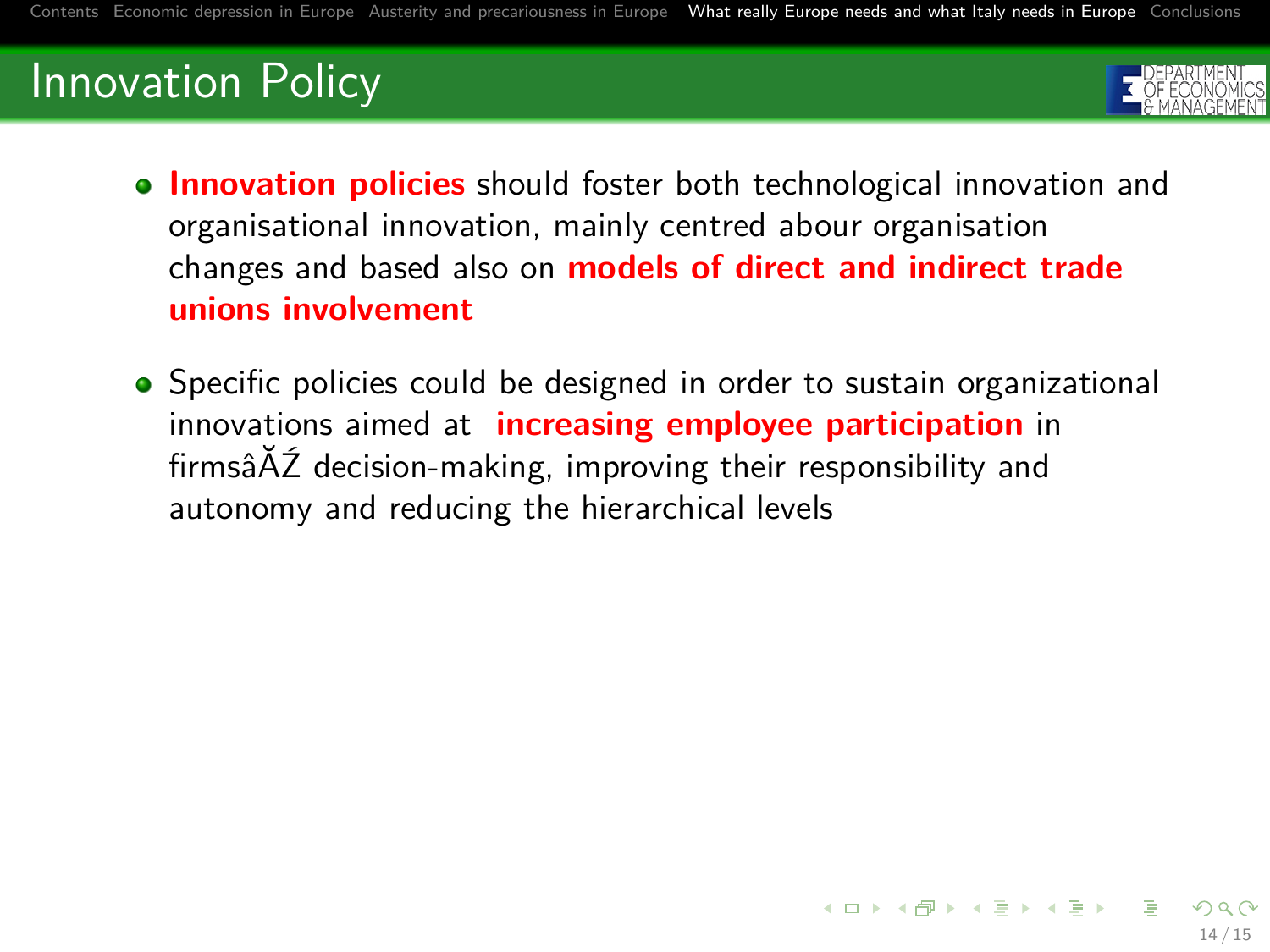# Innovation Policy



- **Innovation policies** should foster both technological innovation and organisational innovation, mainly centred abour organisation changes and based also on **models of direct and indirect trade unions involvement**
- Specific policies could be designed in order to sustain organizational innovations aimed at **increasing employee participation** in firmsâĂŹ decision-making, improving their responsibility and autonomy and reducing the hierarchical levels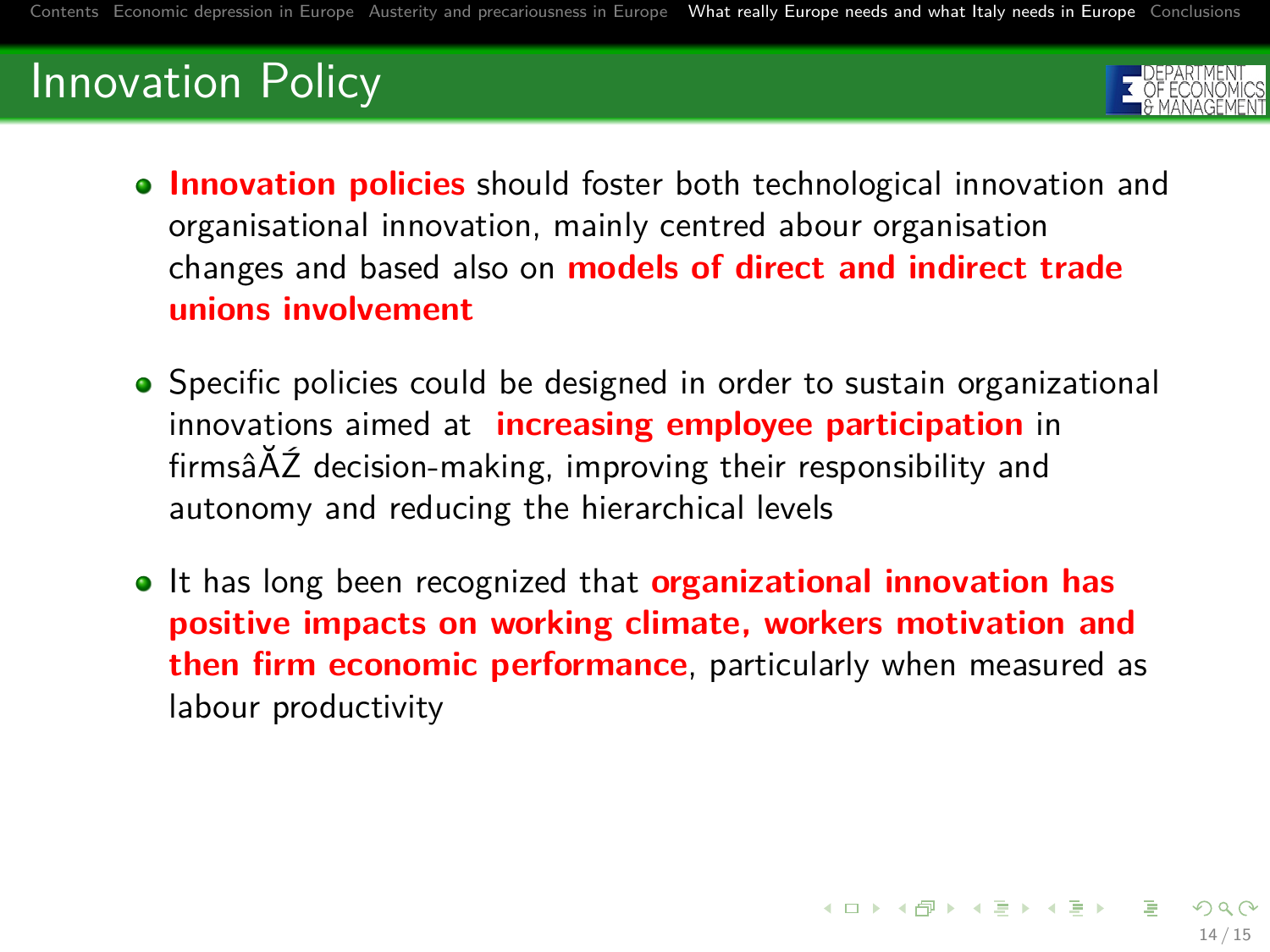# Innovation Policy



- **Innovation policies** should foster both technological innovation and organisational innovation, mainly centred abour organisation changes and based also on **models of direct and indirect trade unions involvement**
- Specific policies could be designed in order to sustain organizational innovations aimed at **increasing employee participation** in firmsâĂŹ decision-making, improving their responsibility and autonomy and reducing the hierarchical levels
- **It has long been recognized that organizational innovation has positive impacts on working climate, workers motivation and then firm economic performance**, particularly when measured as labour productivity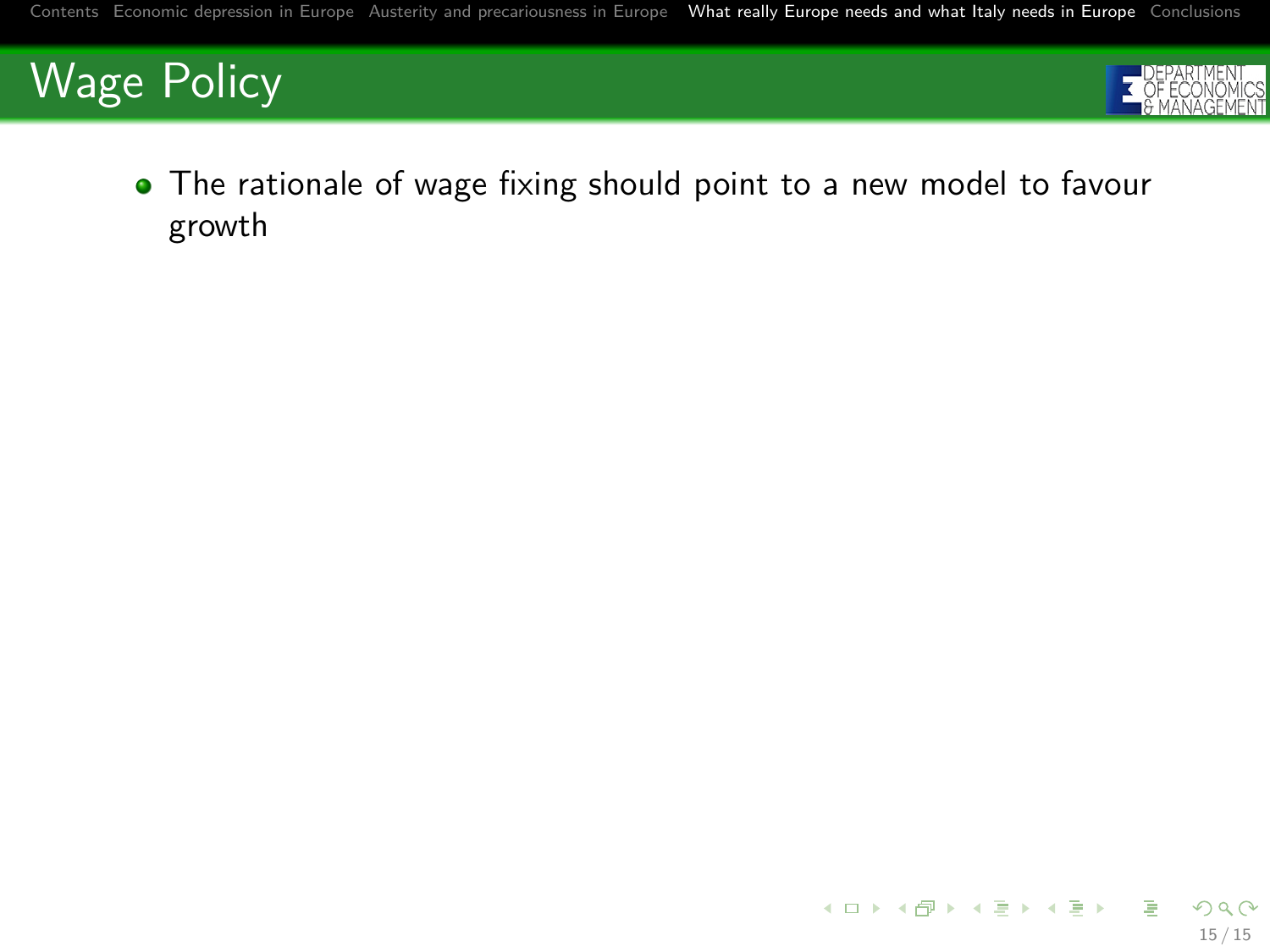



• The rationale of wage fixing should point to a new model to favour growth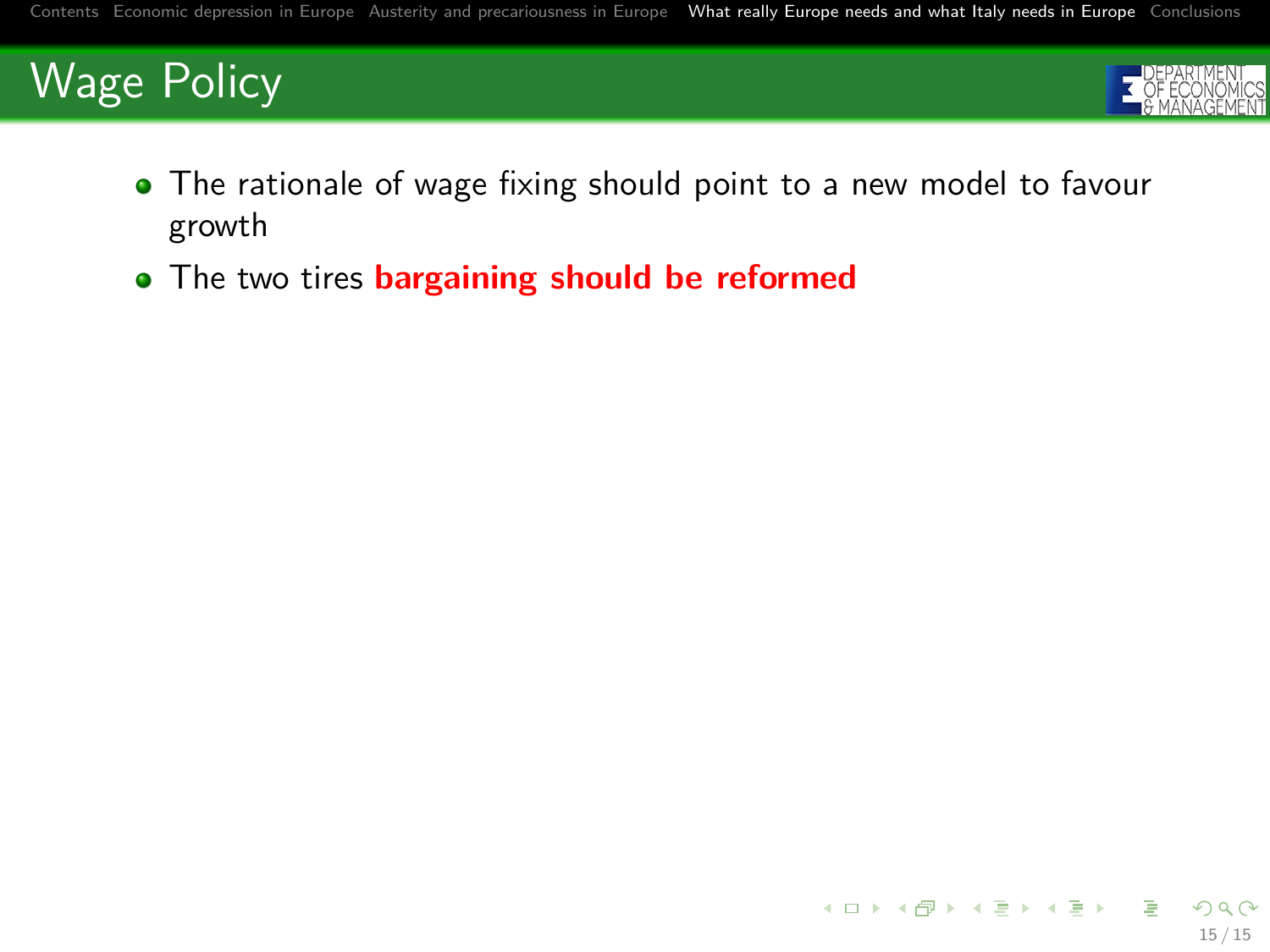

- The rationale of wage fixing should point to a new model to favour growth
- The two tires **bargaining should be reformed**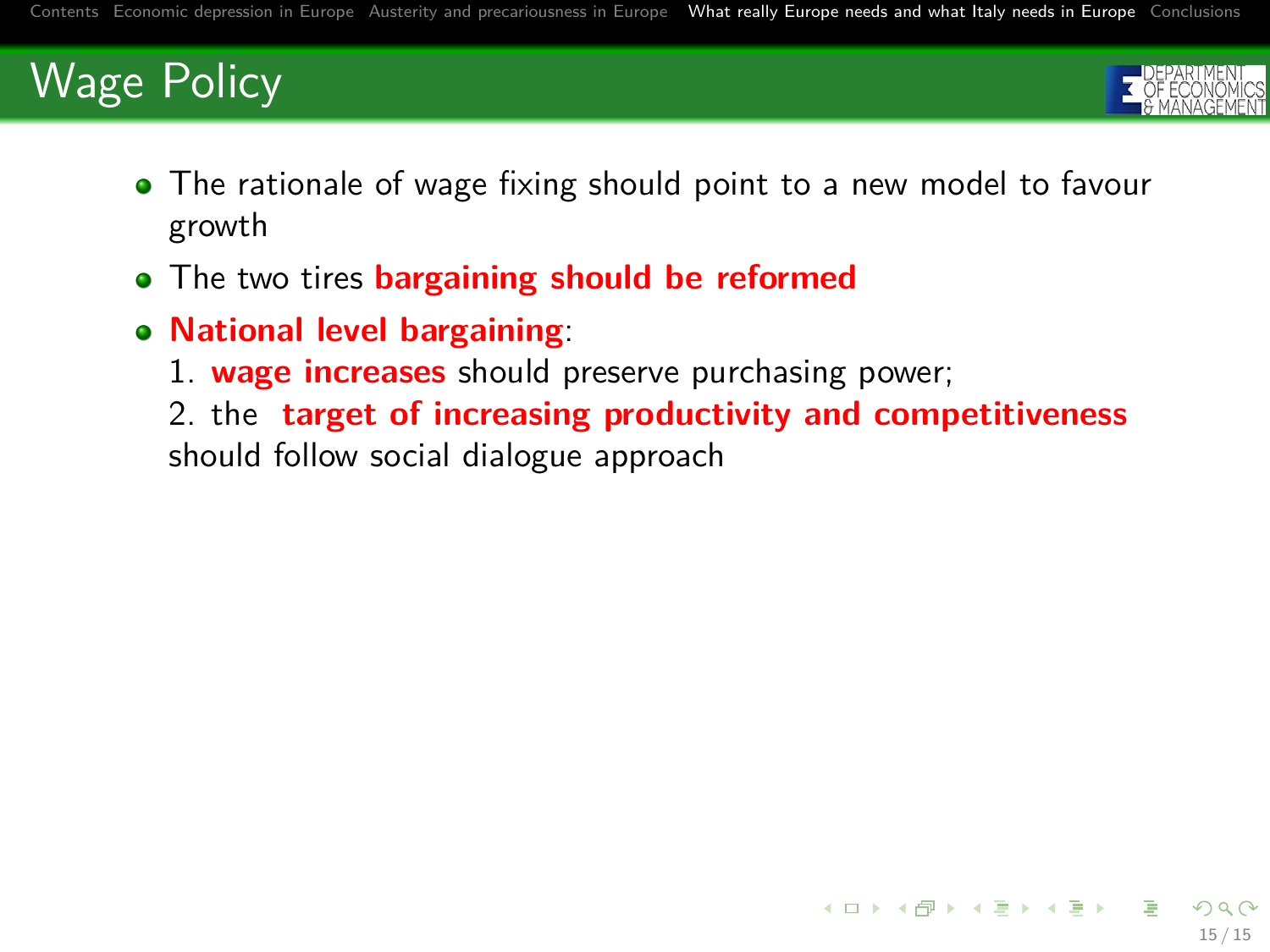

15 / 15

 $A(D) \rightarrow A(\overline{D}) \rightarrow A(\overline{D}) \rightarrow A(\overline{D}) \rightarrow \cdots \overline{D}$ 

- The rationale of wage fixing should point to a new model to favour growth
- The two tires **bargaining should be reformed**
- **National level bargaining**:
	- 1. **wage increases** should preserve purchasing power;

2. the **target of increasing productivity and competitiveness** should follow social dialogue approach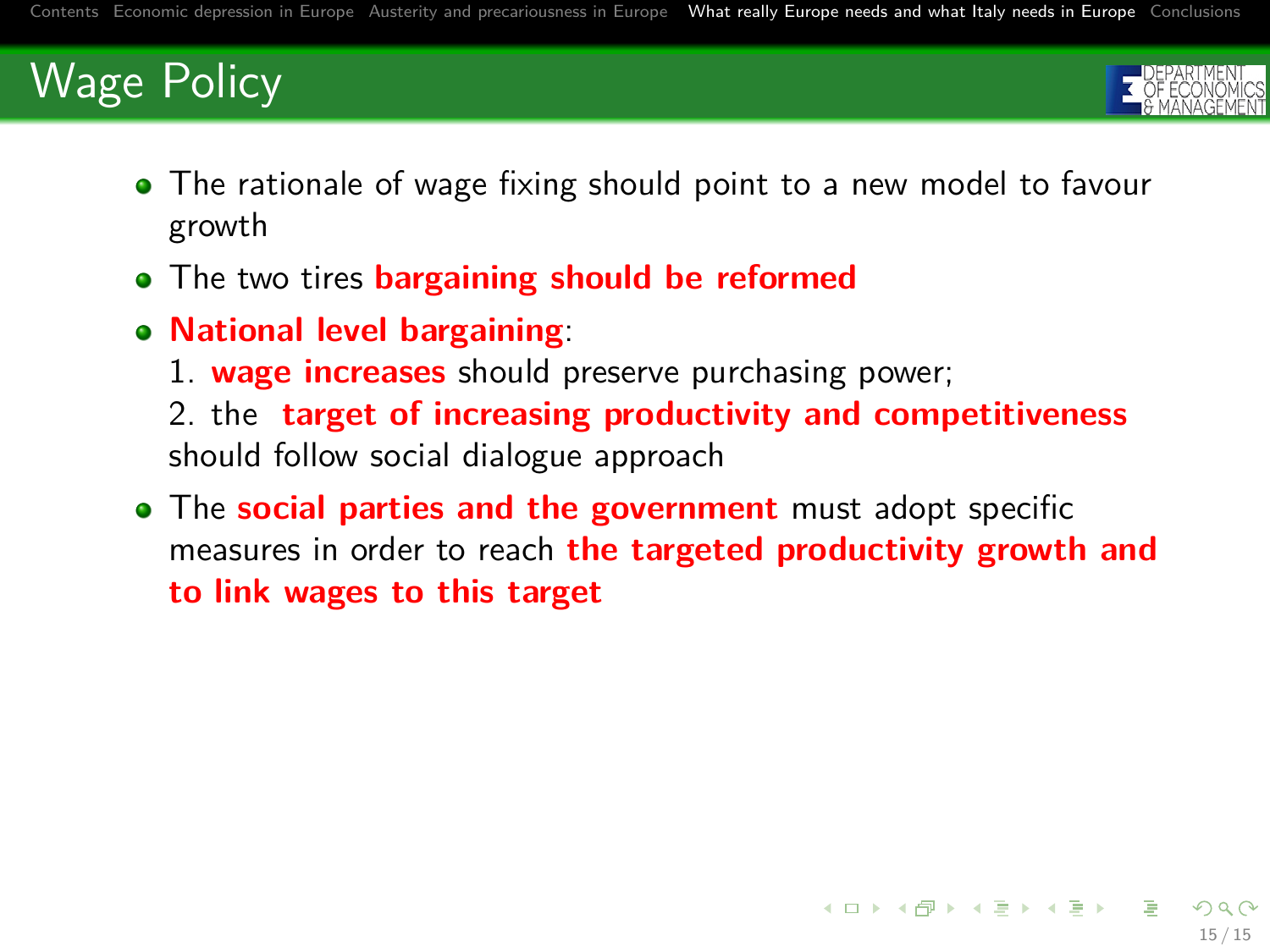

- The rationale of wage fixing should point to a new model to favour growth
- The two tires **bargaining should be reformed**
- **National level bargaining**:
	- 1. **wage increases** should preserve purchasing power;

2. the **target of increasing productivity and competitiveness** should follow social dialogue approach

The **social parties and the government** must adopt specific measures in order to reach **the targeted productivity growth and to link wages to this target**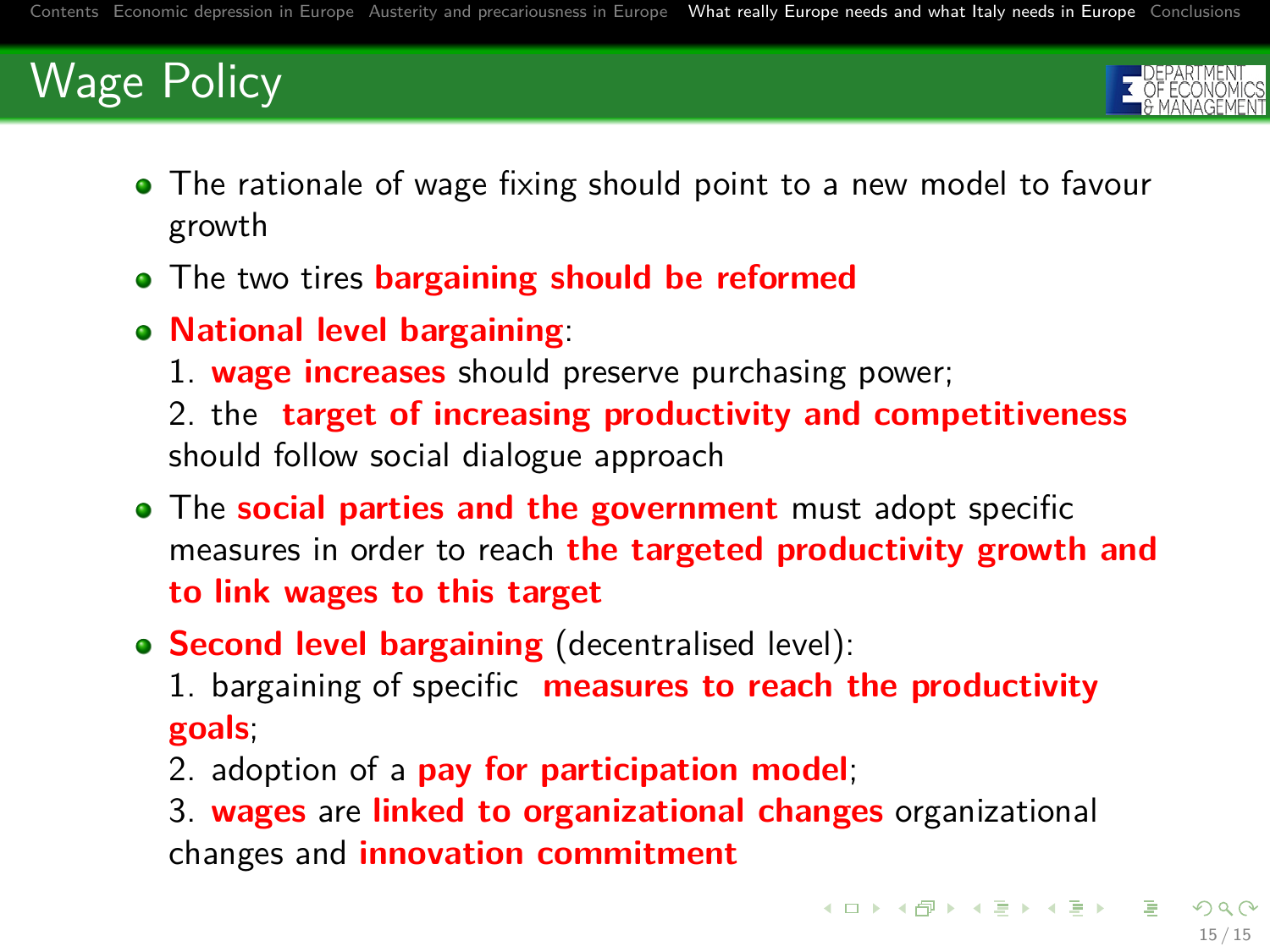

- The rationale of wage fixing should point to a new model to favour growth
- The two tires **bargaining should be reformed**
- **National level bargaining**:
	- 1. **wage increases** should preserve purchasing power;

2. the **target of increasing productivity and competitiveness** should follow social dialogue approach

- The **social parties and the government** must adopt specific measures in order to reach **the targeted productivity growth and to link wages to this target**
- **Second level bargaining** (decentralised level):
	- 1. bargaining of specific **measures to reach the productivity goals**;
	- 2. adoption of a **pay for participation model**;
	- 3. **wages** are **linked to organizational changes** organizational changes and **innovation commitment**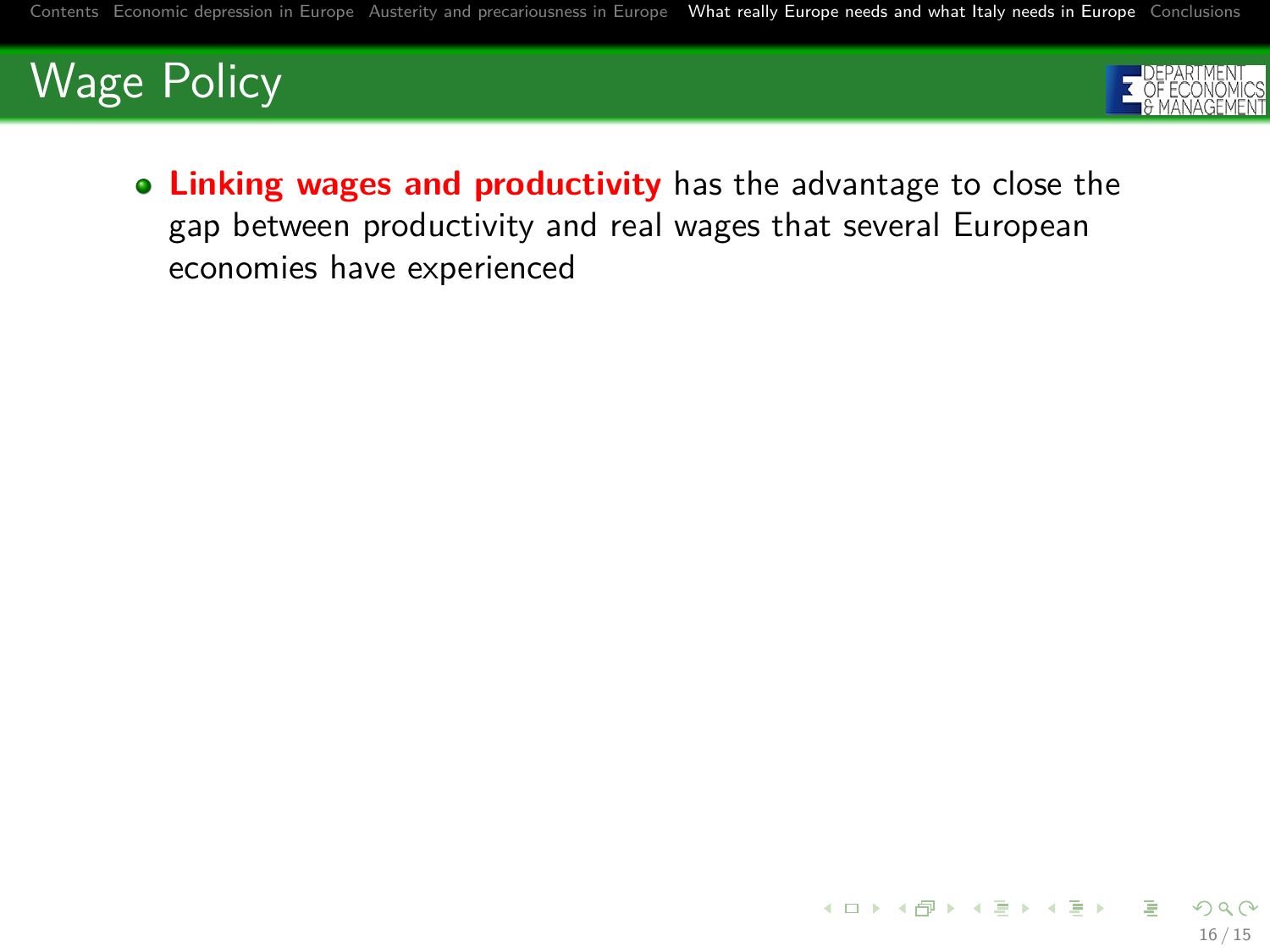

16 / 15

**Linking wages and productivity** has the advantage to close the gap between productivity and real wages that several European economies have experienced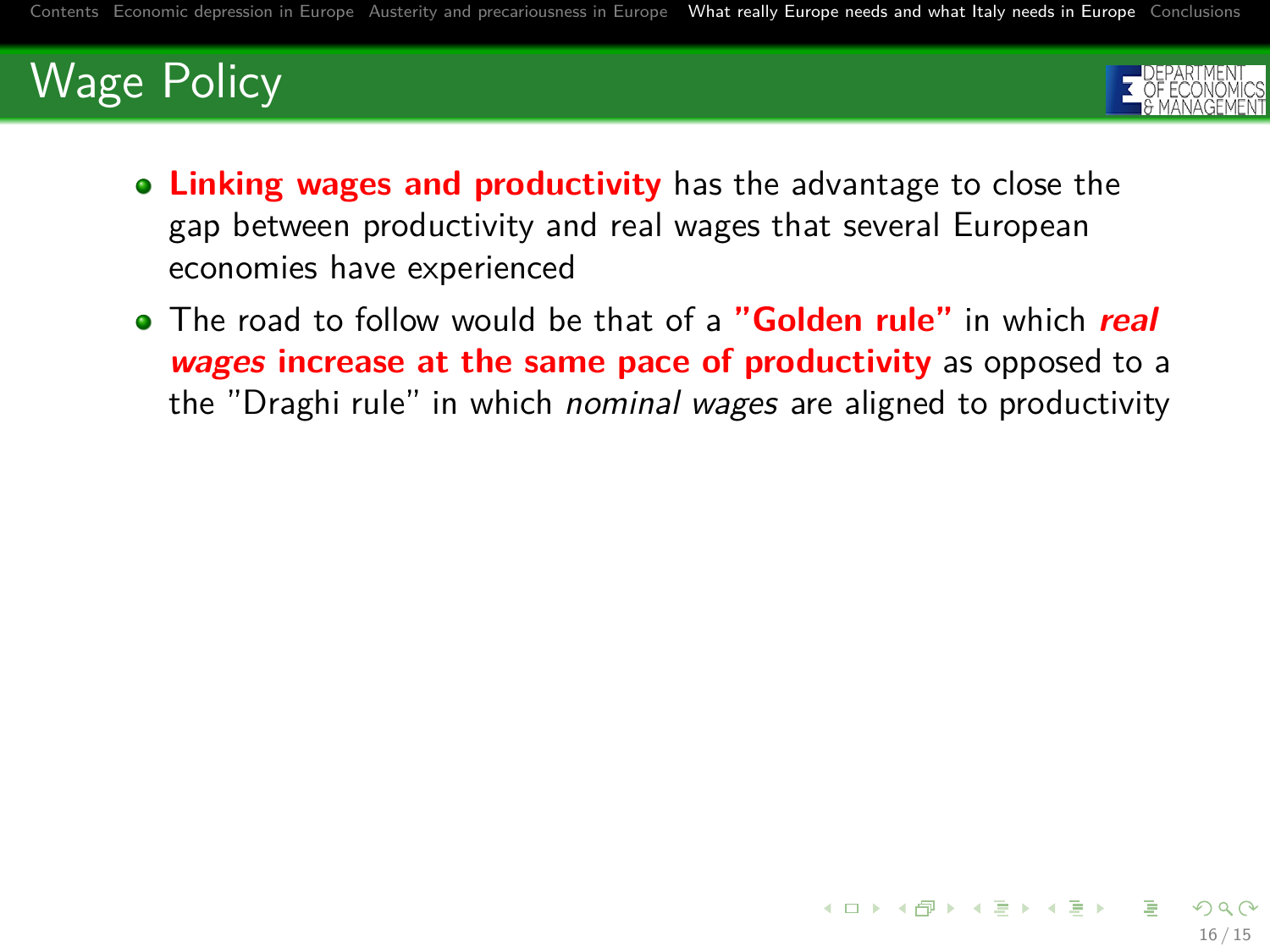

16 / 15

- **Linking wages and productivity** has the advantage to close the gap between productivity and real wages that several European economies have experienced
- The road to follow would be that of a **"Golden rule"** in which **real wages increase at the same pace of productivity** as opposed to a the "Draghi rule" in which nominal wages are aligned to productivity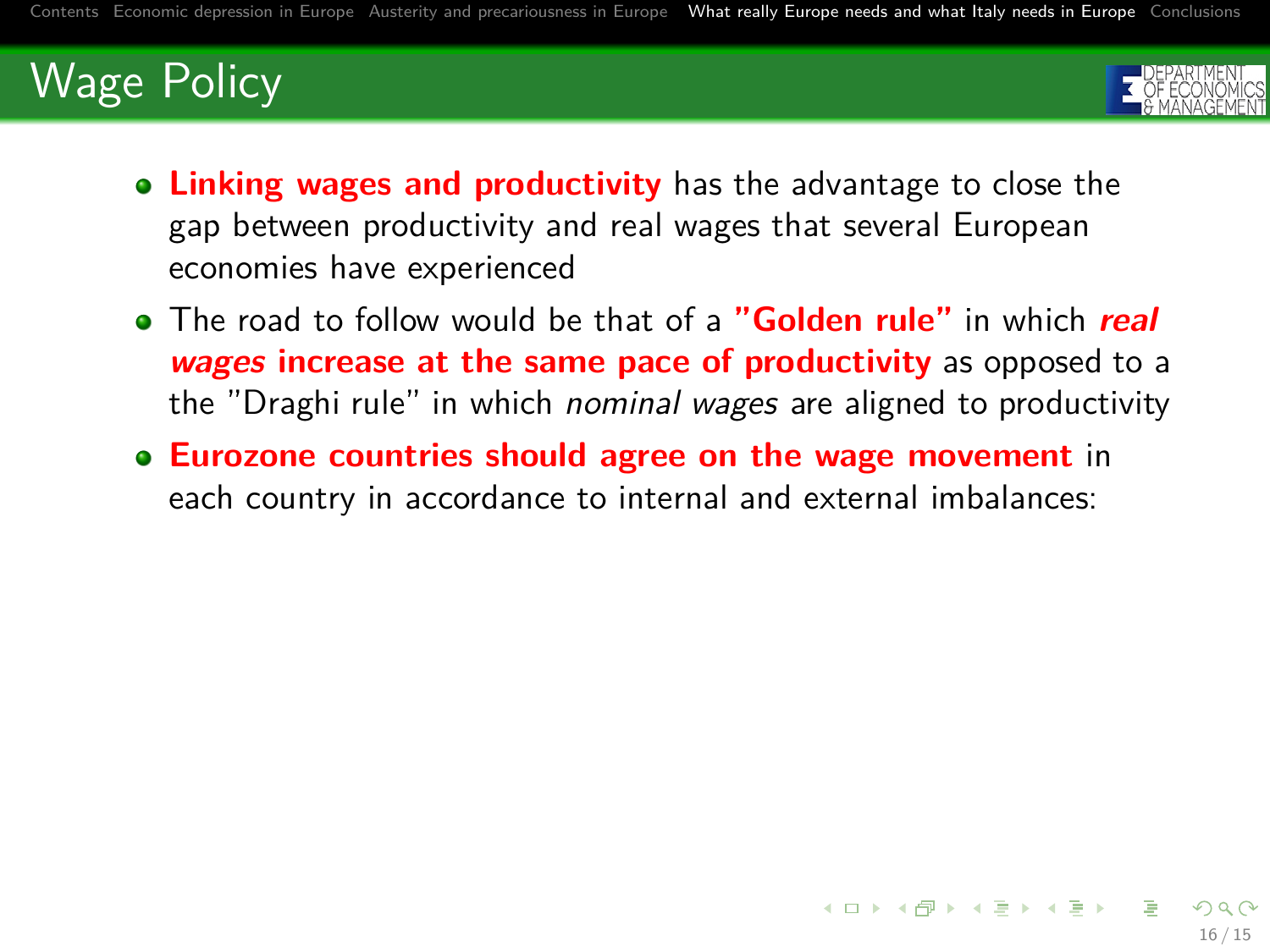

- **Linking wages and productivity** has the advantage to close the gap between productivity and real wages that several European economies have experienced
- The road to follow would be that of a **"Golden rule"** in which **real wages increase at the same pace of productivity** as opposed to a the "Draghi rule" in which nominal wages are aligned to productivity
- **Eurozone countries should agree on the wage movement** in each country in accordance to internal and external imbalances: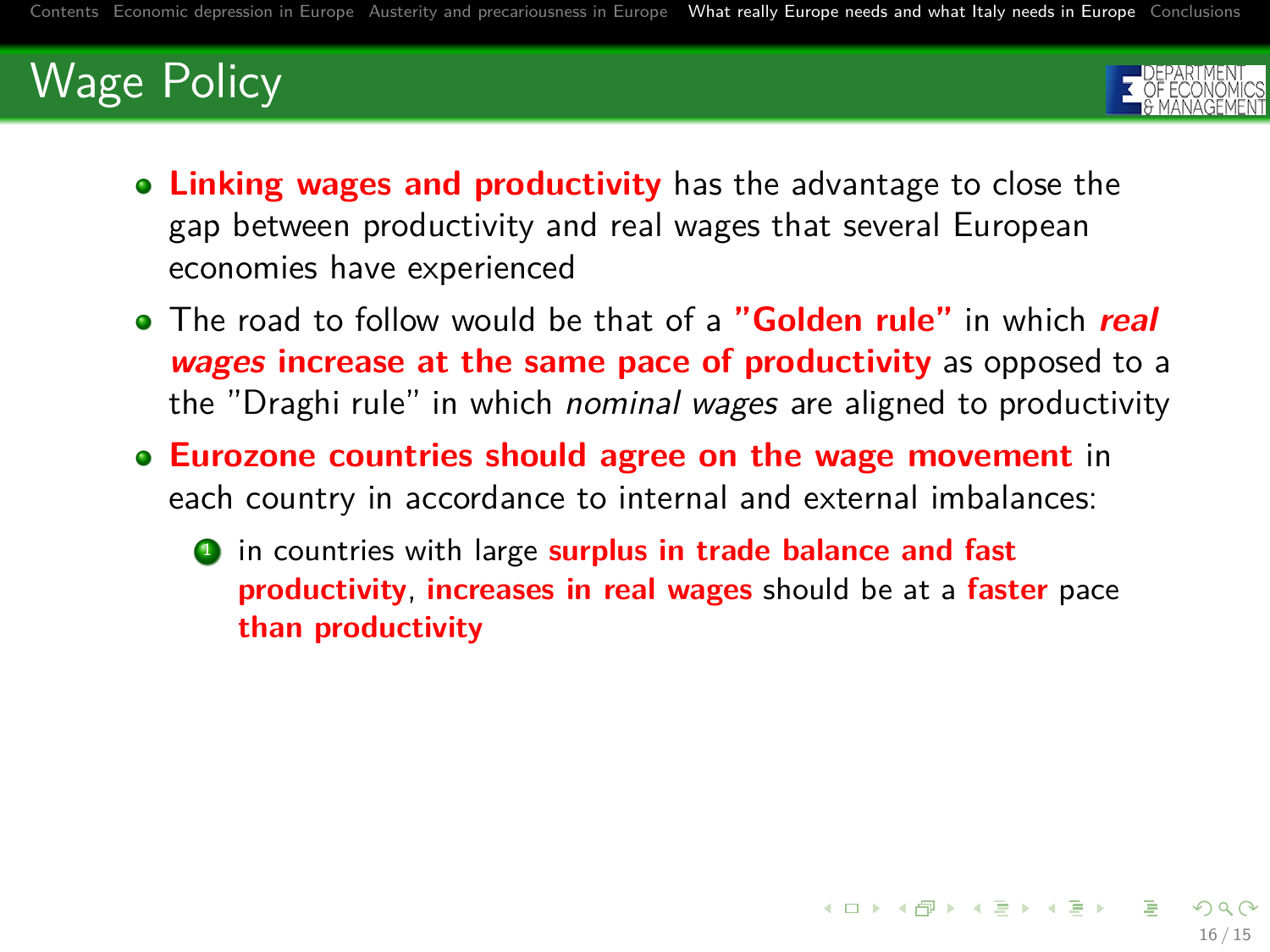<span id="page-42-0"></span>

- **Linking wages and productivity** has the advantage to close the gap between productivity and real wages that several European economies have experienced
- The road to follow would be that of a **"Golden rule"** in which **real wages increase at the same pace of productivity** as opposed to a the "Draghi rule" in which nominal wages are aligned to productivity
- **Eurozone countries should agree on the wage movement** in each country in accordance to internal and external imbalances:
	- **1** in countries with large **surplus in trade balance and fast productivity**, **increases in real wages** should be at a **faster** pace **than productivity**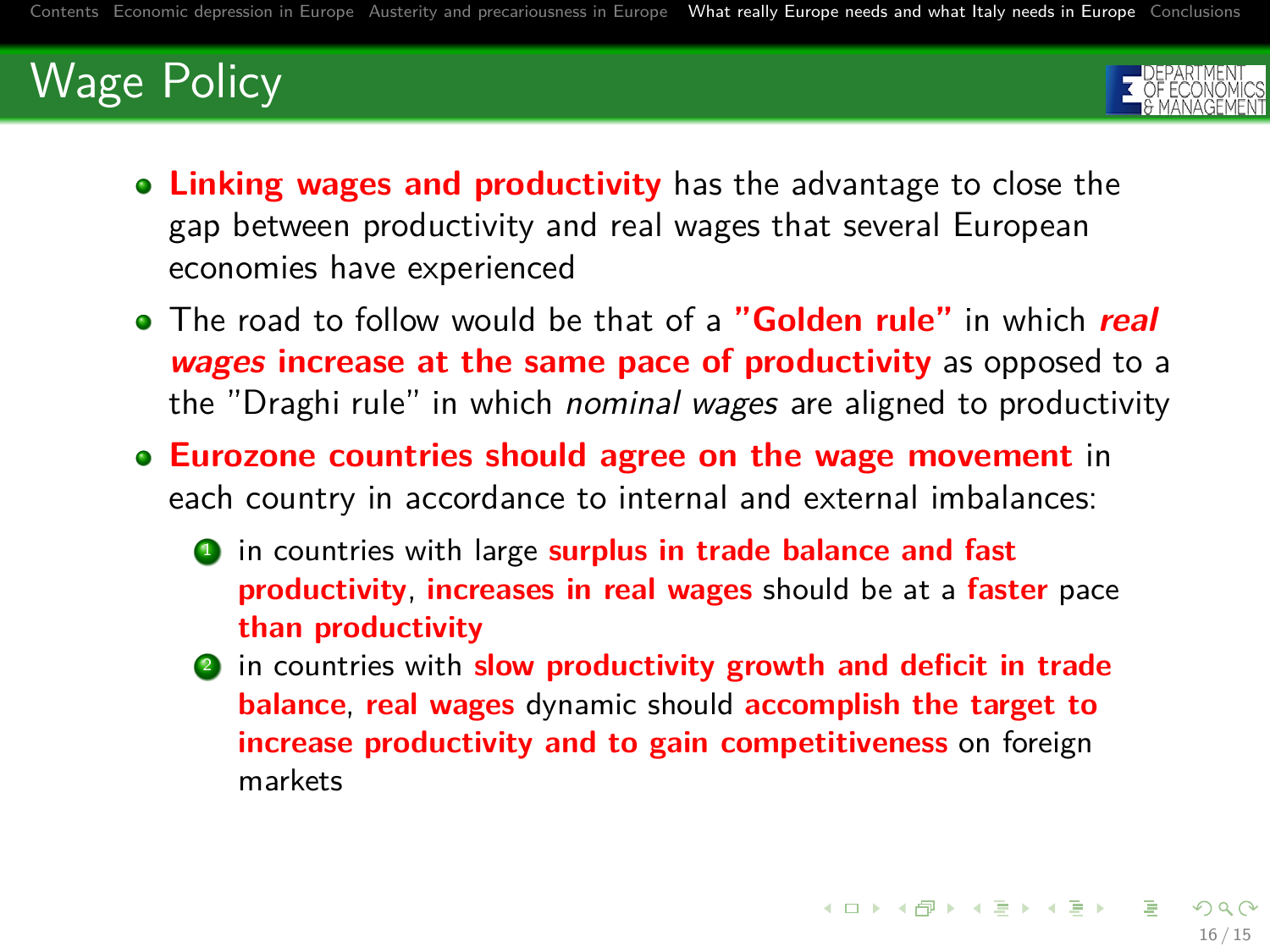

- **Linking wages and productivity** has the advantage to close the gap between productivity and real wages that several European economies have experienced
- The road to follow would be that of a **"Golden rule"** in which **real wages increase at the same pace of productivity** as opposed to a the "Draghi rule" in which *nominal wages* are aligned to productivity
- **Eurozone countries should agree on the wage movement** in each country in accordance to internal and external imbalances:
	- **1** in countries with large **surplus in trade balance and fast productivity**, **increases in real wages** should be at a **faster** pace **than productivity**
	- <sup>2</sup> in countries with **slow productivity growth and deficit in trade balance**, **real wages** dynamic should **accomplish the target to increase productivity and to gain competitiveness** on foreign markets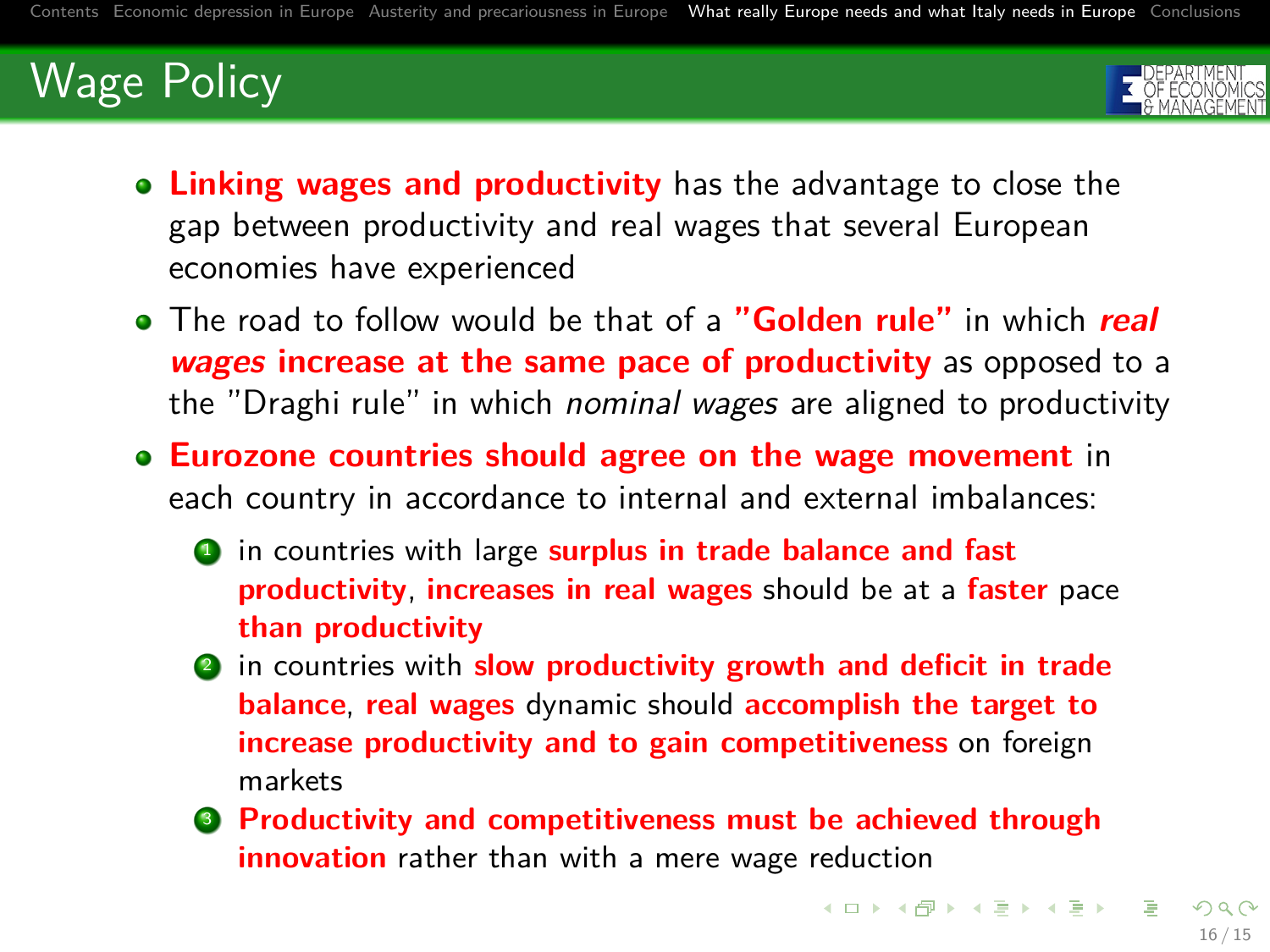

- **Linking wages and productivity** has the advantage to close the gap between productivity and real wages that several European economies have experienced
- The road to follow would be that of a **"Golden rule"** in which **real wages increase at the same pace of productivity** as opposed to a the "Draghi rule" in which *nominal wages* are aligned to productivity
- **Eurozone countries should agree on the wage movement** in each country in accordance to internal and external imbalances:
	- **1** in countries with large **surplus in trade balance and fast productivity**, **increases in real wages** should be at a **faster** pace **than productivity**
	- <sup>2</sup> in countries with **slow productivity growth and deficit in trade balance**, **real wages** dynamic should **accomplish the target to increase productivity and to gain competitiveness** on foreign markets
	- <sup>3</sup> **Productivity and competitiveness must be achieved through innovation** rather than with a mere wage reduction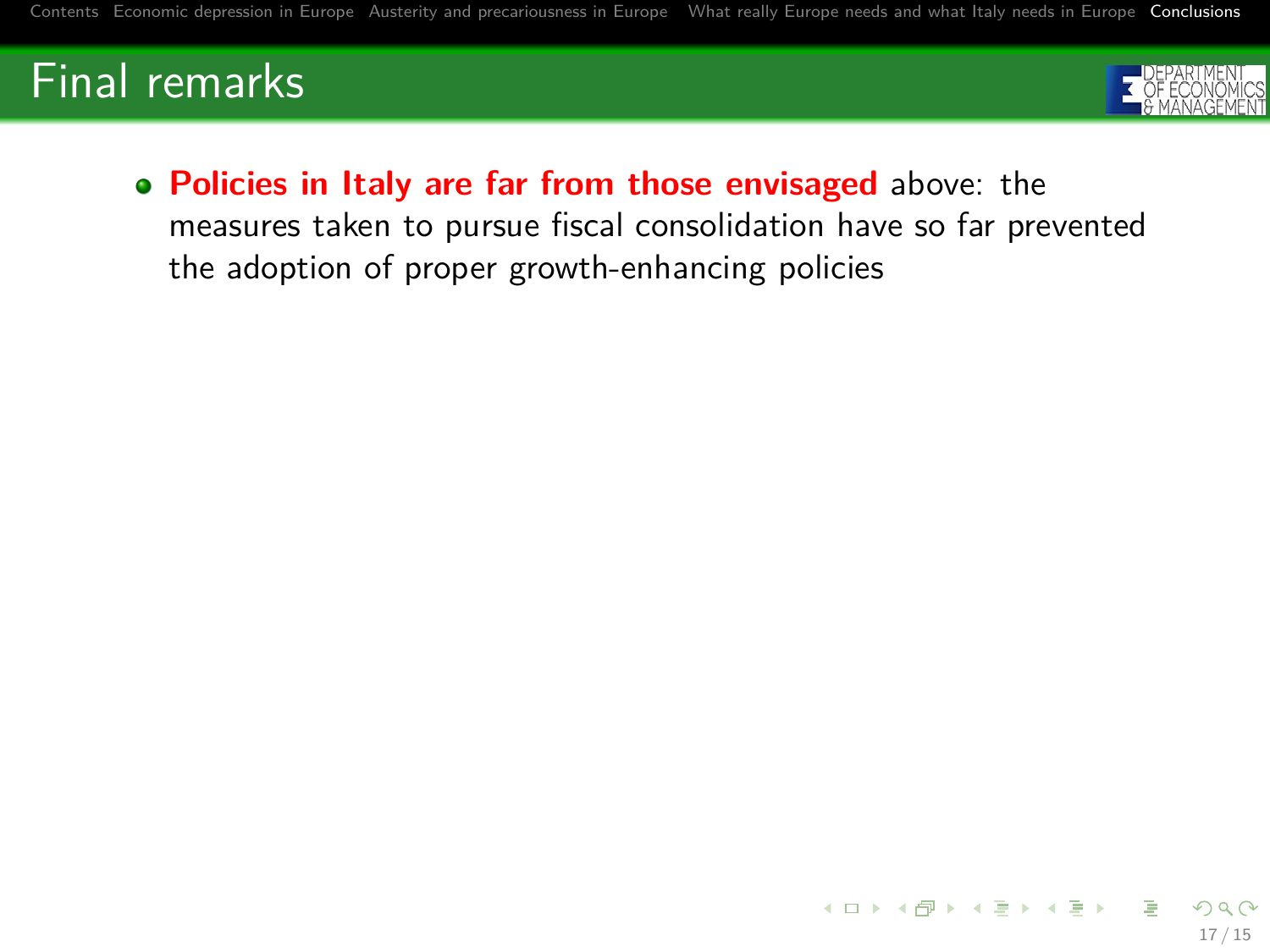

17 / 15

**Policies in Italy are far from those envisaged** above: the measures taken to pursue fiscal consolidation have so far prevented the adoption of proper growth-enhancing policies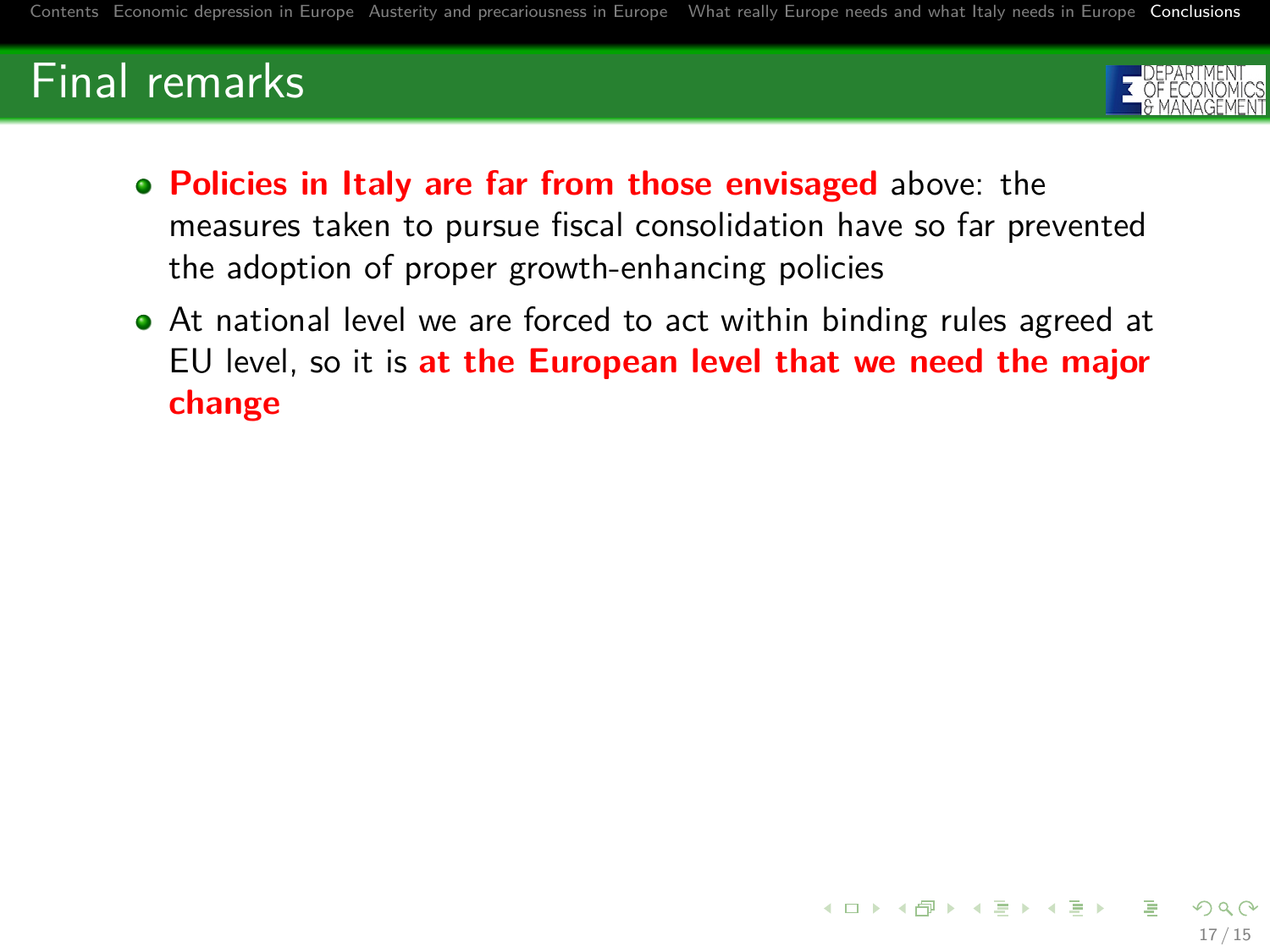

- **Policies in Italy are far from those envisaged** above: the measures taken to pursue fiscal consolidation have so far prevented the adoption of proper growth-enhancing policies
- At national level we are forced to act within binding rules agreed at EU level, so it is **at the European level that we need the major change**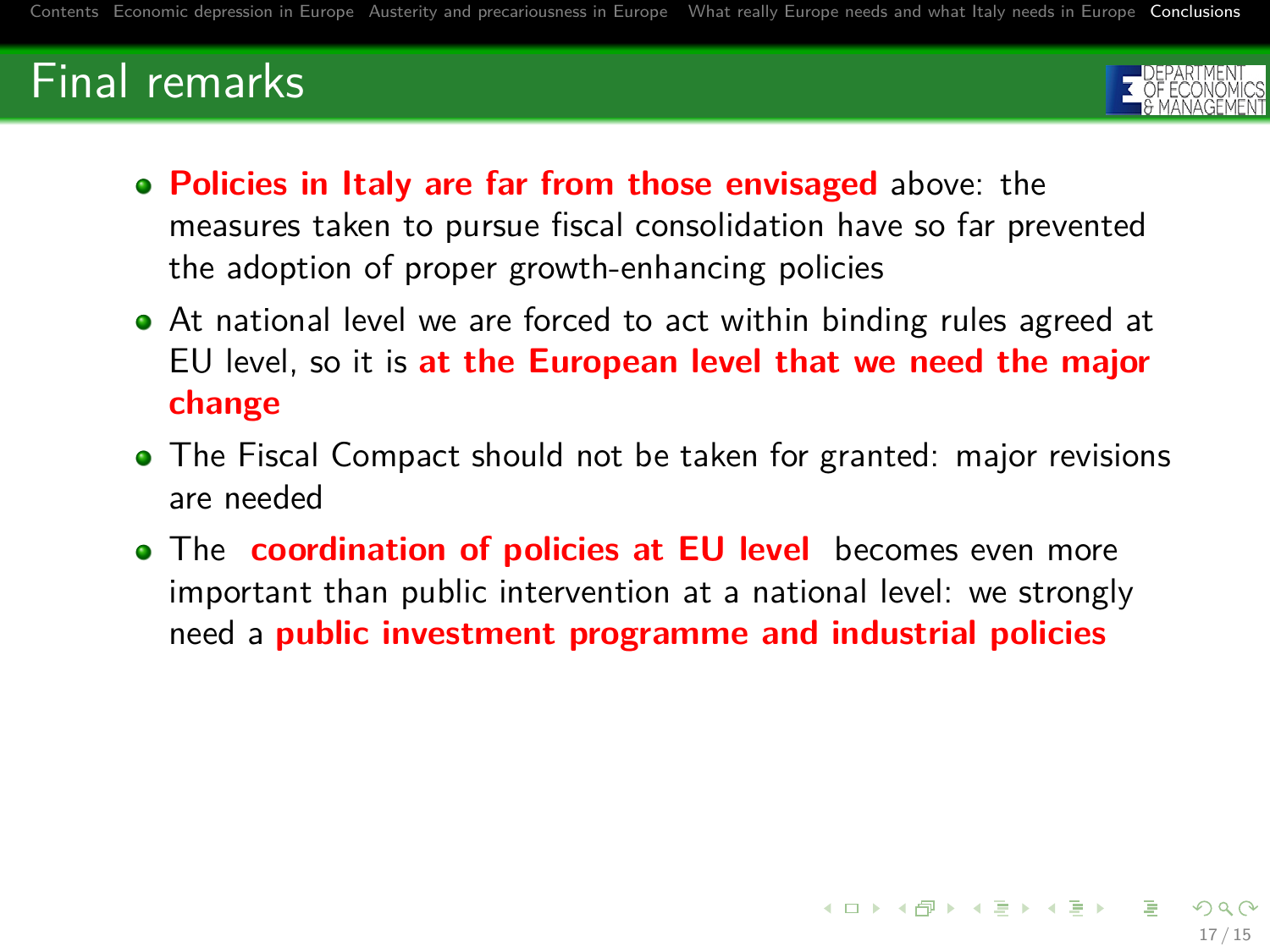

- **Policies in Italy are far from those envisaged** above: the measures taken to pursue fiscal consolidation have so far prevented the adoption of proper growth-enhancing policies
- At national level we are forced to act within binding rules agreed at EU level, so it is **at the European level that we need the major change**
- The Fiscal Compact should not be taken for granted: major revisions are needed
- **•** The **coordination of policies at EU level** becomes even more important than public intervention at a national level: we strongly need a **public investment programme and industrial policies**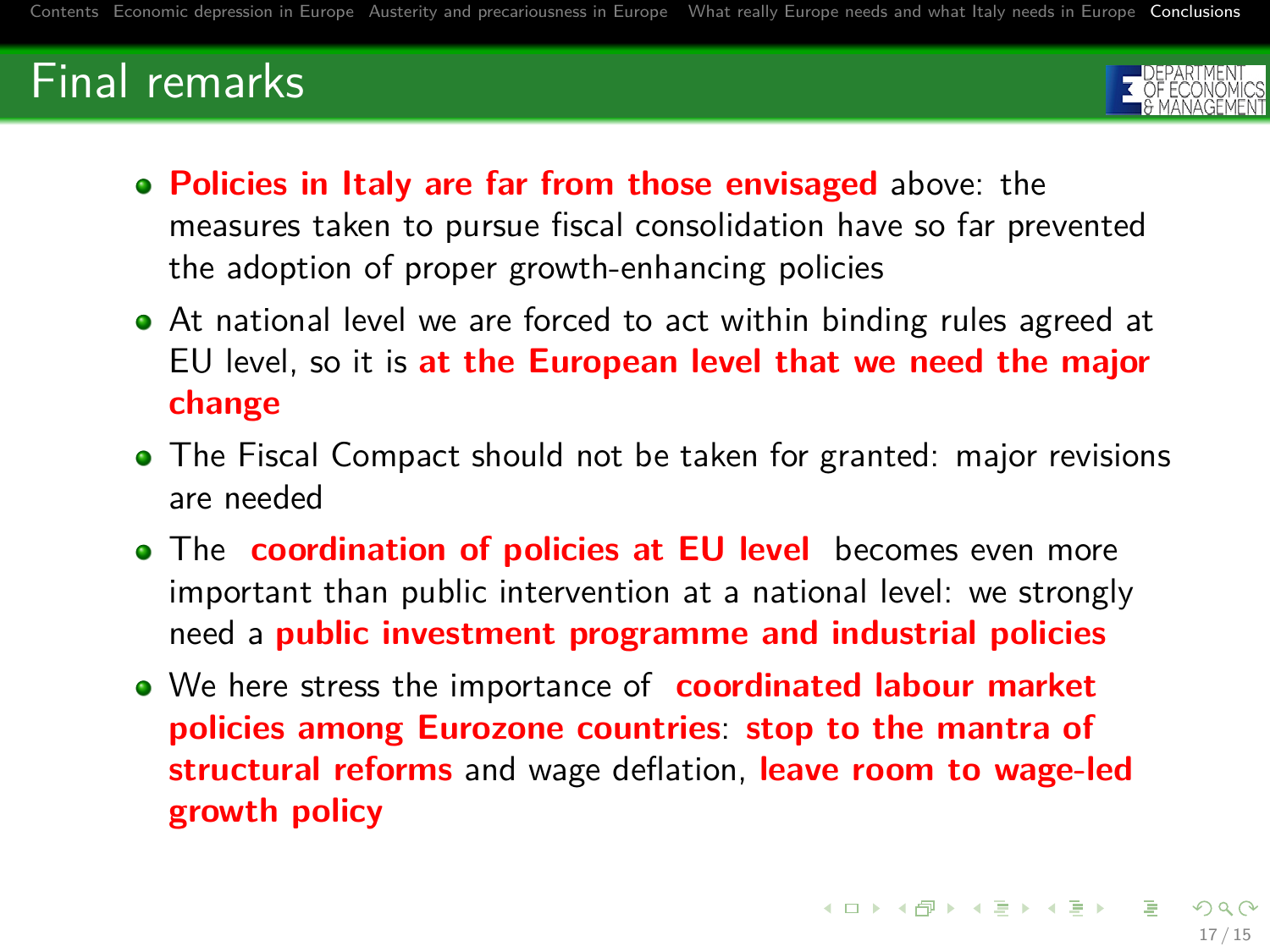

- **Policies in Italy are far from those envisaged** above: the measures taken to pursue fiscal consolidation have so far prevented the adoption of proper growth-enhancing policies
- At national level we are forced to act within binding rules agreed at EU level, so it is **at the European level that we need the major change**
- The Fiscal Compact should not be taken for granted: major revisions are needed
- **•** The **coordination of policies at EU level** becomes even more important than public intervention at a national level: we strongly need a **public investment programme and industrial policies**
- We here stress the importance of **coordinated labour market policies among Eurozone countries**: **stop to the mantra of structural reforms** and wage deflation, **leave room to wage-led growth policy**